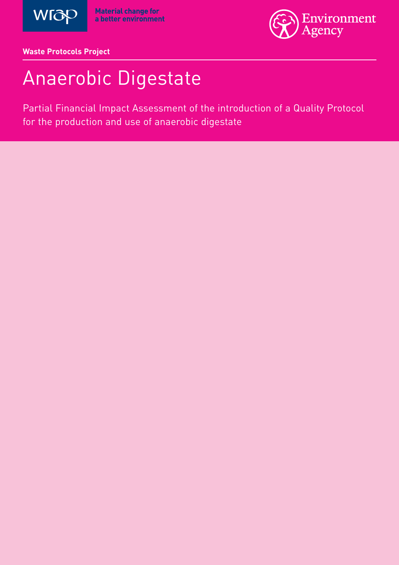



**Waste Protocols Project**

# Anaerobic Digestate

Partial Financial Impact Assessment of the introduction of a Quality Protocol for the production and use of anaerobic digestate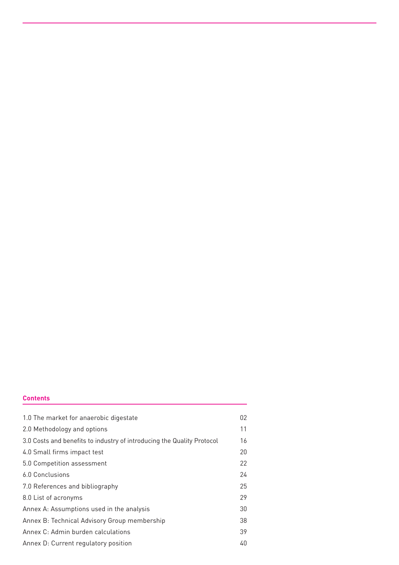### **Contents**

| 1.0 The market for anaerobic digestate                                 | 02 |
|------------------------------------------------------------------------|----|
| 2.0 Methodology and options                                            | 11 |
| 3.0 Costs and benefits to industry of introducing the Quality Protocol | 16 |
| 4.0 Small firms impact test                                            | 20 |
| 5.0 Competition assessment                                             | 22 |
| 6.0 Conclusions                                                        | 24 |
| 7.0 References and bibliography                                        | 25 |
| 8.0 List of acronyms                                                   | 29 |
| Annex A: Assumptions used in the analysis                              | 30 |
| Annex B: Technical Advisory Group membership                           | 38 |
| Annex C: Admin burden calculations                                     | 39 |
| Annex D: Current regulatory position                                   | 40 |
|                                                                        |    |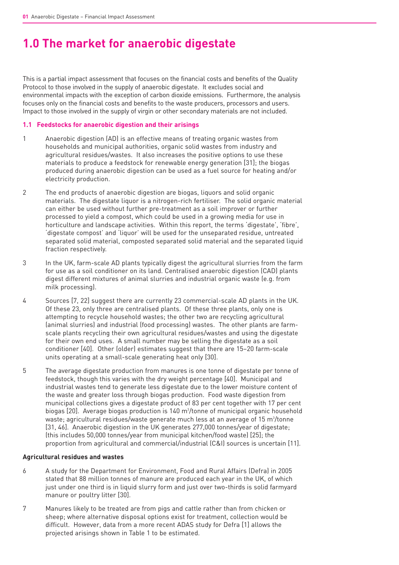# **1.0 The market for anaerobic digestate**

This is a partial impact assessment that focuses on the financial costs and benefits of the Quality Protocol to those involved in the supply of anaerobic digestate. It excludes social and environmental impacts with the exception of carbon dioxide emissions. Furthermore, the analysis focuses only on the financial costs and benefits to the waste producers, processors and users. Impact to those involved in the supply of virgin or other secondary materials are not included.

### **1.1 Feedstocks for anaerobic digestion and their arisings**

- 1 Anaerobic digestion (AD) is an effective means of treating organic wastes from households and municipal authorities, organic solid wastes from industry and agricultural residues/wastes. It also increases the positive options to use these materials to produce a feedstock for renewable energy generation [31]; the biogas produced during anaerobic digestion can be used as a fuel source for heating and/or electricity production.
- 2 The end products of anaerobic digestion are biogas, liquors and solid organic materials. The digestate liquor is a nitrogen-rich fertiliser. The solid organic material can either be used without further pre-treatment as a soil improver or further processed to yield a compost, which could be used in a growing media for use in horticulture and landscape activities. Within this report, the terms 'digestate', 'fibre', 'digestate compost' and 'liquor' will be used for the unseparated residue, untreated separated solid material, composted separated solid material and the separated liquid fraction respectively.
- 3 In the UK, farm-scale AD plants typically digest the agricultural slurries from the farm for use as a soil conditioner on its land. Centralised anaerobic digestion (CAD) plants digest different mixtures of animal slurries and industrial organic waste (e.g. from milk processing).
- 4 Sources [7, 22] suggest there are currently 23 commercial-scale AD plants in the UK. Of these 23, only three are centralised plants. Of these three plants, only one is attempting to recycle household wastes; the other two are recycling agricultural (animal slurries) and industrial (food processing) wastes. The other plants are farmscale plants recycling their own agricultural residues/wastes and using the digestate for their own end uses. A small number may be selling the digestate as a soil conditioner [40]. Other (older) estimates suggest that there are 15–20 farm-scale units operating at a small-scale generating heat only [30].
- 5 The average digestate production from manures is one tonne of digestate per tonne of feedstock, though this varies with the dry weight percentage [40]. Municipal and industrial wastes tend to generate less digestate due to the lower moisture content of the waste and greater loss through biogas production. Food waste digestion from municipal collections gives a digestate product of 83 per cent together with 17 per cent biogas [20]. Average biogas production is 140 m $^3\!/\!$ tonne of municipal organic household waste; agricultural residues/waste generate much less at an average of 15  $\mathrm{m}^{3}\!$ /tonne [31, 46]. Anaerobic digestion in the UK generates 277,000 tonnes/year of digestate; (this includes 50,000 tonnes/year from municipal kitchen/food waste) [25]; the proportion from agricultural and commercial/industrial (C&I) sources is uncertain [11].

#### **Agricultural residues and wastes**

- 6 A study for the Department for Environment, Food and Rural Affairs (Defra) in 2005 stated that 88 million tonnes of manure are produced each year in the UK, of which just under one third is in liquid slurry form and just over two-thirds is solid farmyard manure or poultry litter [30].
- 7 Manures likely to be treated are from pigs and cattle rather than from chicken or sheep; where alternative disposal options exist for treatment, collection would be difficult. However, data from a more recent ADAS study for Defra [1] allows the projected arisings shown in Table 1 to be estimated.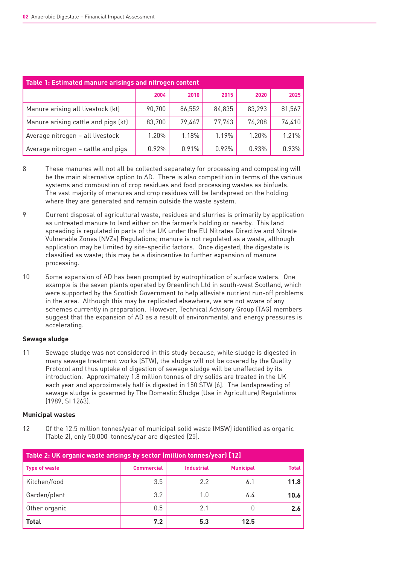| Table 1: Estimated manure arisings and nitrogen content |        |        |        |        |        |  |  |  |
|---------------------------------------------------------|--------|--------|--------|--------|--------|--|--|--|
|                                                         | 2004   | 2010   | 2015   | 2020   | 2025   |  |  |  |
| Manure arising all livestock (kt)                       | 90,700 | 86,552 | 84,835 | 83,293 | 81,567 |  |  |  |
| Manure arising cattle and pigs (kt)                     | 83,700 | 79,467 | 77,763 | 76,208 | 74,410 |  |  |  |
| Average nitrogen - all livestock                        | 1.20%  | 1.18%  | 1.19%  | 1.20%  | 1.21%  |  |  |  |
| Average nitrogen - cattle and pigs                      | 0.92%  | 0.91%  | 0.92%  | 0.93%  | 0.93%  |  |  |  |

- 8 These manures will not all be collected separately for processing and composting will be the main alternative option to AD. There is also competition in terms of the various systems and combustion of crop residues and food processing wastes as biofuels. The vast majority of manures and crop residues will be landspread on the holding where they are generated and remain outside the waste system.
- 9 Current disposal of agricultural waste, residues and slurries is primarily by application as untreated manure to land either on the farmer's holding or nearby. This land spreading is regulated in parts of the UK under the EU Nitrates Directive and Nitrate Vulnerable Zones (NVZs) Regulations; manure is not regulated as a waste, although application may be limited by site-specific factors. Once digested, the digestate is classified as waste; this may be a disincentive to further expansion of manure processing.
- 10 Some expansion of AD has been prompted by eutrophication of surface waters. One example is the seven plants operated by Greenfinch Ltd in south-west Scotland, which were supported by the Scottish Government to help alleviate nutrient run-off problems in the area. Although this may be replicated elsewhere, we are not aware of any schemes currently in preparation. However, Technical Advisory Group (TAG) members suggest that the expansion of AD as a result of environmental and energy pressures is accelerating.

### **Sewage sludge**

11 Sewage sludge was not considered in this study because, while sludge is digested in many sewage treatment works (STW), the sludge will not be covered by the Quality Protocol and thus uptake of digestion of sewage sludge will be unaffected by its introduction. Approximately 1.8 million tonnes of dry solids are treated in the UK each year and approximately half is digested in 150 STW [6]. The landspreading of sewage sludge is governed by The Domestic Sludge (Use in Agriculture) Regulations (1989, SI 1263).

### **Municipal wastes**

12 Of the 12.5 million tonnes/year of municipal solid waste (MSW) identified as organic (Table 2), only 50,000 tonnes/year are digested [25].

| Table 2: UK organic waste arisings by sector (million tonnes/year) [12] |                   |                   |                  |       |  |  |
|-------------------------------------------------------------------------|-------------------|-------------------|------------------|-------|--|--|
| <b>Type of waste</b>                                                    | <b>Commercial</b> | <b>Industrial</b> | <b>Municipal</b> | Total |  |  |
| Kitchen/food                                                            | 3.5               | 2.2               | 6.1              | 11.8  |  |  |
| Garden/plant                                                            | 3.2               | 1.0               | 6.4              | 10.6  |  |  |
| Other organic                                                           | 0.5               | 2.1               |                  | 2.6   |  |  |
| Total                                                                   | 7.2               | 5.3               | 12.5             |       |  |  |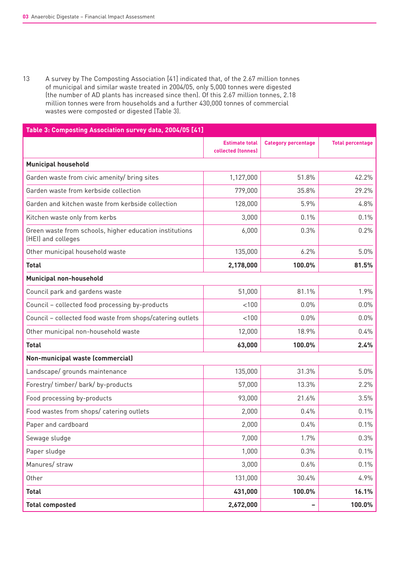13 A survey by The Composting Association [41] indicated that, of the 2.67 million tonnes of municipal and similar waste treated in 2004/05, only 5,000 tonnes were digested (the number of AD plants has increased since then). Of this 2.67 million tonnes, 2.18 million tonnes were from households and a further 430,000 tonnes of commercial wastes were composted or digested (Table 3).

| Table 3: Composting Association survey data, 2004/05 [41]                     |                                             |                            |                         |
|-------------------------------------------------------------------------------|---------------------------------------------|----------------------------|-------------------------|
|                                                                               | <b>Estimate total</b><br>collected (tonnes) | <b>Category percentage</b> | <b>Total percentage</b> |
| <b>Municipal household</b>                                                    |                                             |                            |                         |
| Garden waste from civic amenity/ bring sites                                  | 1,127,000                                   | 51.8%                      | 42.2%                   |
| Garden waste from kerbside collection                                         | 779,000                                     | 35.8%                      | 29.2%                   |
| Garden and kitchen waste from kerbside collection                             | 128,000                                     | 5.9%                       | 4.8%                    |
| Kitchen waste only from kerbs                                                 | 3,000                                       | 0.1%                       | 0.1%                    |
| Green waste from schools, higher education institutions<br>(HEI) and colleges | 6,000                                       | 0.3%                       | 0.2%                    |
| Other municipal household waste                                               | 135,000                                     | 6.2%                       | 5.0%                    |
| <b>Total</b>                                                                  | 2,178,000                                   | 100.0%                     | 81.5%                   |
| <b>Municipal non-household</b>                                                |                                             |                            |                         |
| Council park and gardens waste                                                | 51,000                                      | 81.1%                      | 1.9%                    |
| Council - collected food processing by-products                               | < 100                                       | 0.0%                       | 0.0%                    |
| Council - collected food waste from shops/catering outlets                    | < 100                                       | 0.0%                       | 0.0%                    |
| Other municipal non-household waste                                           | 12,000                                      | 18.9%                      | 0.4%                    |
| <b>Total</b>                                                                  | 63,000                                      | 100.0%                     | 2.4%                    |
| Non-municipal waste (commercial)                                              |                                             |                            |                         |
| Landscape/ grounds maintenance                                                | 135,000                                     | 31.3%                      | 5.0%                    |
| Forestry/ timber/ bark/ by-products                                           | 57,000                                      | 13.3%                      | 2.2%                    |
| Food processing by-products                                                   | 93,000                                      | 21.6%                      | 3.5%                    |
| Food wastes from shops/ catering outlets                                      | 2,000                                       | 0.4%                       | 0.1%                    |
| Paper and cardboard                                                           | 2,000                                       | 0.4%                       | 0.1%                    |
| Sewage sludge                                                                 | 7,000                                       | 1.7%                       | 0.3%                    |
| Paper sludge                                                                  | 1,000                                       | 0.3%                       | 0.1%                    |
| Manures/ straw                                                                | 3,000                                       | 0.6%                       | 0.1%                    |
| Other                                                                         | 131,000                                     | 30.4%                      | 4.9%                    |
| <b>Total</b>                                                                  | 431,000                                     | 100.0%                     | 16.1%                   |
| <b>Total composted</b>                                                        | 2,672,000                                   |                            | 100.0%                  |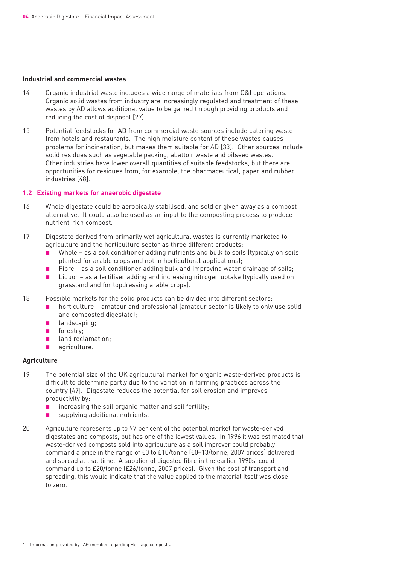#### **Industrial and commercial wastes**

- 14 Organic industrial waste includes a wide range of materials from C&I operations. Organic solid wastes from industry are increasingly regulated and treatment of these wastes by AD allows additional value to be gained through providing products and reducing the cost of disposal [27].
- 15 Potential feedstocks for AD from commercial waste sources include catering waste from hotels and restaurants. The high moisture content of these wastes causes problems for incineration, but makes them suitable for AD [33]. Other sources include solid residues such as vegetable packing, abattoir waste and oilseed wastes. Other industries have lower overall quantities of suitable feedstocks, but there are opportunities for residues from, for example, the pharmaceutical, paper and rubber industries [48].

### **1.2 Existing markets for anaerobic digestate**

- 16 Whole digestate could be aerobically stabilised, and sold or given away as a compost alternative. It could also be used as an input to the composting process to produce nutrient-rich compost.
- 17 Digestate derived from primarily wet agricultural wastes is currently marketed to agriculture and the horticulture sector as three different products:
	- Whole as a soil conditioner adding nutrients and bulk to soils (typically on soils planted for arable crops and not in horticultural applications);
	- Fibre  $-$  as a soil conditioner adding bulk and improving water drainage of soils;
	- Liquor as a fertiliser adding and increasing nitrogen uptake (typically used on grassland and for topdressing arable crops).
- 18 Possible markets for the solid products can be divided into different sectors:
	- horticulture amateur and professional (amateur sector is likely to only use solid and composted digestate);
	- landscaping;
	- forestry;
	- land reclamation;
	- agriculture.

### **Agriculture**

- 19 The potential size of the UK agricultural market for organic waste-derived products is difficult to determine partly due to the variation in farming practices across the country [47]. Digestate reduces the potential for soil erosion and improves productivity by:
	- increasing the soil organic matter and soil fertility;
	- supplying additional nutrients.
- 20 Agriculture represents up to 97 per cent of the potential market for waste-derived digestates and composts, but has one of the lowest values. In 1996 it was estimated that waste-derived composts sold into agriculture as a soil improver could probably command a price in the range of £0 to £10/tonne (£0–13/tonne, 2007 prices) delivered and spread at that time. A supplier of digested fibre in the earlier  $1990s<sup>1</sup>$  could command up to £20/tonne (£26/tonne, 2007 prices). Given the cost of transport and spreading, this would indicate that the value applied to the material itself was close to zero.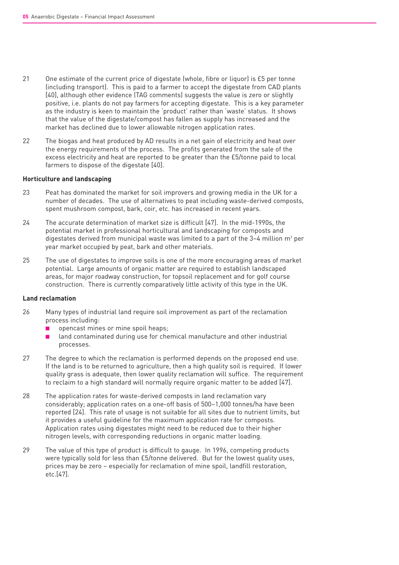- 21 One estimate of the current price of digestate (whole, fibre or liquor) is £5 per tonne (including transport). This is paid to a farmer to accept the digestate from CAD plants [40], although other evidence (TAG comments) suggests the value is zero or slightly positive, i.e. plants do not pay farmers for accepting digestate. This is a key parameter as the industry is keen to maintain the 'product' rather than 'waste' status. It shows that the value of the digestate/compost has fallen as supply has increased and the market has declined due to lower allowable nitrogen application rates.
- 22 The biogas and heat produced by AD results in a net gain of electricity and heat over the energy requirements of the process. The profits generated from the sale of the excess electricity and heat are reported to be greater than the £5/tonne paid to local farmers to dispose of the digestate [40].

#### **Horticulture and landscaping**

- 23 Peat has dominated the market for soil improvers and growing media in the UK for a number of decades. The use of alternatives to peat including waste-derived composts, spent mushroom compost, bark, coir, etc. has increased in recent years.
- 24 The accurate determination of market size is difficult [47]. In the mid-1990s, the potential market in professional horticultural and landscaping for composts and digestates derived from municipal waste was limited to a part of the  $3-4$  million m<sup>3</sup> per year market occupied by peat, bark and other materials.
- 25 The use of digestates to improve soils is one of the more encouraging areas of market potential. Large amounts of organic matter are required to establish landscaped areas, for major roadway construction, for topsoil replacement and for golf course construction. There is currently comparatively little activity of this type in the UK.

#### **Land reclamation**

- 26 Many types of industrial land require soil improvement as part of the reclamation process including:
	- opencast mines or mine spoil heaps;
	- land contaminated during use for chemical manufacture and other industrial processes.
- 27 The degree to which the reclamation is performed depends on the proposed end use. If the land is to be returned to agriculture, then a high quality soil is required. If lower quality grass is adequate, then lower quality reclamation will suffice. The requirement to reclaim to a high standard will normally require organic matter to be added [47].
- 28 The application rates for waste-derived composts in land reclamation vary considerably; application rates on a one-off basis of 500–1,000 tonnes/ha have been reported [24]. This rate of usage is not suitable for all sites due to nutrient limits, but it provides a useful guideline for the maximum application rate for composts. Application rates using digestates might need to be reduced due to their higher nitrogen levels, with corresponding reductions in organic matter loading.
- 29 The value of this type of product is difficult to gauge. In 1996, competing products were typically sold for less than £5/tonne delivered. But for the lowest quality uses, prices may be zero – especially for reclamation of mine spoil, landfill restoration, etc.[47].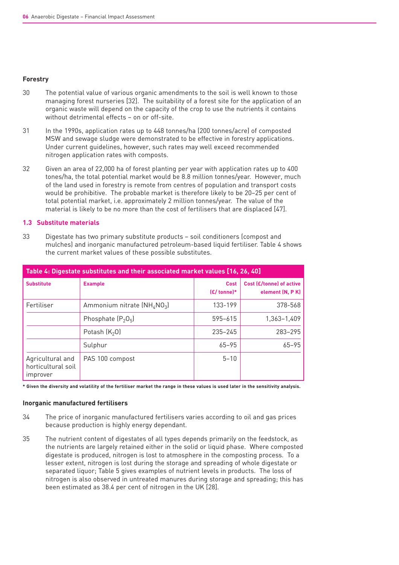#### **Forestry**

- 30 The potential value of various organic amendments to the soil is well known to those managing forest nurseries [32]. The suitability of a forest site for the application of an organic waste will depend on the capacity of the crop to use the nutrients it contains without detrimental effects – on or off-site.
- 31 In the 1990s, application rates up to 448 tonnes/ha (200 tonnes/acre) of composted MSW and sewage sludge were demonstrated to be effective in forestry applications. Under current guidelines, however, such rates may well exceed recommended nitrogen application rates with composts.
- 32 Given an area of 22,000 ha of forest planting per year with application rates up to 400 tones/ha, the total potential market would be 8.8 million tonnes/year. However, much of the land used in forestry is remote from centres of population and transport costs would be prohibitive. The probable market is therefore likely to be 20–25 per cent of total potential market, i.e. approximately 2 million tonnes/year. The value of the material is likely to be no more than the cost of fertilisers that are displaced [47].

### **1.3 Substitute materials**

33 Digestate has two primary substitute products – soil conditioners (compost and mulches) and inorganic manufactured petroleum-based liquid fertiliser. Table 4 shows the current market values of these possible substitutes.

| Table 4: Digestate substitutes and their associated market values [16, 26, 40] |                             |                             |                                             |  |  |
|--------------------------------------------------------------------------------|-----------------------------|-----------------------------|---------------------------------------------|--|--|
| <b>Substitute</b>                                                              | <b>Example</b>              | <b>Cost</b><br>$E/$ tonne)* | Cost (£/tonne) of active<br>element (N, PK) |  |  |
| Fertiliser                                                                     | Ammonium nitrate $(NH4NO3)$ | 133-199                     | 378-568                                     |  |  |
|                                                                                | Phosphate $(P_2O_5)$        | 595-615                     | 1,363-1,409                                 |  |  |
|                                                                                | Potash $(K_2O)$             | $235 - 245$                 | 283-295                                     |  |  |
|                                                                                | Sulphur                     | $65 - 95$                   | $65 - 95$                                   |  |  |
| Agricultural and<br>horticultural soil<br>improver                             | PAS 100 compost             | $5 - 10$                    |                                             |  |  |

**\* Given the diversity and volatility of the fertiliser market the range in these values is used later in the sensitivity analysis.**

#### **Inorganic manufactured fertilisers**

- 34 The price of inorganic manufactured fertilisers varies according to oil and gas prices because production is highly energy dependant.
- 35 The nutrient content of digestates of all types depends primarily on the feedstock, as the nutrients are largely retained either in the solid or liquid phase. Where composted digestate is produced, nitrogen is lost to atmosphere in the composting process. To a lesser extent, nitrogen is lost during the storage and spreading of whole digestate or separated liquor; Table 5 gives examples of nutrient levels in products. The loss of nitrogen is also observed in untreated manures during storage and spreading; this has been estimated as 38.4 per cent of nitrogen in the UK [28].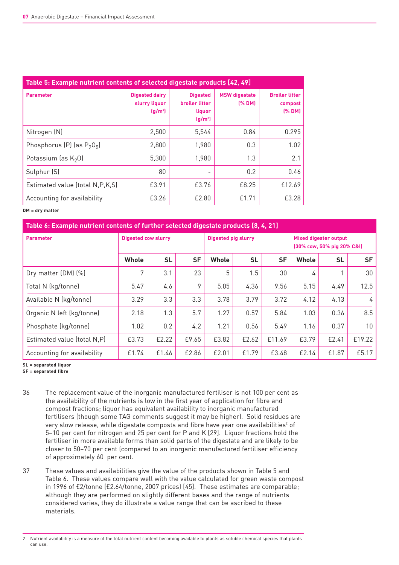| Table 5: Example nutrient contents of selected digestate products [42, 49] |                                                                        |                                                                                    |                                |                                            |  |  |  |
|----------------------------------------------------------------------------|------------------------------------------------------------------------|------------------------------------------------------------------------------------|--------------------------------|--------------------------------------------|--|--|--|
| <b>Parameter</b>                                                           | <b>Digested dairy</b><br>slurry liquor<br>$\left(\frac{q}{m^3}\right)$ | <b>Digested</b><br><b>broiler litter</b><br>liquor<br>$\left(\frac{q}{m^3}\right)$ | <b>MSW</b> digestate<br>(% DM) | <b>Broiler litter</b><br>compost<br>[% DM] |  |  |  |
| Nitrogen (N)                                                               | 2,500                                                                  | 5,544                                                                              | 0.84                           | 0.295                                      |  |  |  |
| Phosphorus (P) (as $P_2O_5$ )                                              | 2,800                                                                  | 1,980                                                                              | 0.3                            | 1.02                                       |  |  |  |
| Potassium (as $K_2$ 0)                                                     | 5,300                                                                  | 1,980                                                                              | 1.3                            | 2.1                                        |  |  |  |
| Sulphur (S)                                                                | 80                                                                     |                                                                                    | 0.2                            | 0.46                                       |  |  |  |
| Estimated value (total N, P, K, S)                                         | £3.91                                                                  | £3.76                                                                              | £8.25                          | £12.69                                     |  |  |  |
| Accounting for availability                                                | £3.26                                                                  | £2.80                                                                              | £1.71                          | £3.28                                      |  |  |  |

#### **DM = dry matter**

| Table 6: Example nutrient contents of further selected digestate products [8, 4, 21] |                            |           |                     |       |           |                                                            |       |           |           |  |
|--------------------------------------------------------------------------------------|----------------------------|-----------|---------------------|-------|-----------|------------------------------------------------------------|-------|-----------|-----------|--|
| <b>Parameter</b>                                                                     | <b>Digested cow slurry</b> |           | Digested pig slurry |       |           | <b>Mixed digester output</b><br>(30% cow, 50% pig 20% C&I) |       |           |           |  |
|                                                                                      | <b>Whole</b>               | <b>SL</b> | <b>SF</b>           | Whole | <b>SL</b> | <b>SF</b>                                                  | Whole | <b>SL</b> | <b>SF</b> |  |
| Dry matter (DM) (%)                                                                  | 7                          | 3.1       | 23                  | 5     | 1.5       | 30                                                         | 4     |           | 30        |  |
| Total N (kg/tonne)                                                                   | 5.47                       | 4.6       | 9                   | 5.05  | 4.36      | 9.56                                                       | 5.15  | 4.49      | 12.5      |  |
| Available N (kg/tonne)                                                               | 3.29                       | 3.3       | 3.3                 | 3.78  | 3.79      | 3.72                                                       | 4.12  | 4.13      | 4         |  |
| Organic N left (kg/tonne)                                                            | 2.18                       | 1.3       | 5.7                 | 1.27  | 0.57      | 5.84                                                       | 1.03  | 0.36      | 8.5       |  |
| Phosphate (kg/tonne)                                                                 | 1.02                       | 0.2       | 4.2                 | 1.21  | 0.56      | 5.49                                                       | 1.16  | 0.37      | 10        |  |
| Estimated value (total N,P)                                                          | £3.73                      | £2.22     | £9.65               | £3.82 | £2.62     | £11.69                                                     | £3.79 | £2.41     | £19.22    |  |
| Accounting for availability                                                          | £1.74                      | £1.46     | £2.86               | £2.01 | £1.79     | £3.48                                                      | £2.14 | £1.87     | £5.17     |  |

**SL = separated liquor**

**SF = separated fibre**

- 36 The replacement value of the inorganic manufactured fertiliser is not 100 per cent as the availability of the nutrients is low in the first year of application for fibre and compost fractions; liquor has equivalent availability to inorganic manufactured fertilisers (though some TAG comments suggest it may be higher). Solid residues are very slow release, while digestate composts and fibre have year one availabilities<sup>2</sup> of 5–10 per cent for nitrogen and 25 per cent for P and K [29]. Liquor fractions hold the fertiliser in more available forms than solid parts of the digestate and are likely to be closer to 50–70 per cent (compared to an inorganic manufactured fertiliser efficiency of approximately 60 per cent.
- 37 These values and availabilities give the value of the products shown in Table 5 and Table 6. These values compare well with the value calculated for green waste compost in 1996 of £2/tonne (£2.64/tonne, 2007 prices) [45]. These estimates are comparable; although they are performed on slightly different bases and the range of nutrients considered varies, they do illustrate a value range that can be ascribed to these materials.

<sup>2</sup> Nutrient availability is a measure of the total nutrient content becoming available to plants as soluble chemical species that plants can use.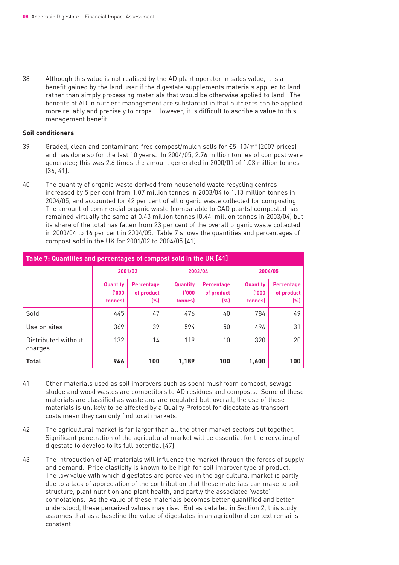38 Although this value is not realised by the AD plant operator in sales value, it is a benefit gained by the land user if the digestate supplements materials applied to land rather than simply processing materials that would be otherwise applied to land. The benefits of AD in nutrient management are substantial in that nutrients can be applied more reliably and precisely to crops. However, it is difficult to ascribe a value to this management benefit.

#### **Soil conditioners**

- $39$  Graded, clean and contaminant-free compost/mulch sells for  $E5-10/m<sup>3</sup>$  (2007 prices) and has done so for the last 10 years. In 2004/05, 2.76 million tonnes of compost were generated; this was 2.6 times the amount generated in 2000/01 of 1.03 million tonnes [36, 41].
- 40 The quantity of organic waste derived from household waste recycling centres increased by 5 per cent from 1.07 million tonnes in 2003/04 to 1.13 million tonnes in 2004/05, and accounted for 42 per cent of all organic waste collected for composting. The amount of commercial organic waste (comparable to CAD plants) composted has remained virtually the same at 0.43 million tonnes (0.44 million tonnes in 2003/04) but its share of the total has fallen from 23 per cent of the overall organic waste collected in 2003/04 to 16 per cent in 2004/05. Table 7 shows the quantities and percentages of compost sold in the UK for 2001/02 to 2004/05 [41].

| Table 7: Quantities and percentages of compost sold in the UK [41] |                                     |                                        |                                      |                                        |                                             |                                 |  |  |
|--------------------------------------------------------------------|-------------------------------------|----------------------------------------|--------------------------------------|----------------------------------------|---------------------------------------------|---------------------------------|--|--|
|                                                                    | 2001/02                             |                                        |                                      | 2003/04                                | 2004/05                                     |                                 |  |  |
|                                                                    | <b>Quantity</b><br>(000)<br>tonnes) | <b>Percentage</b><br>of product<br>(%) | <b>Quantity</b><br>(1000)<br>tonnes) | <b>Percentage</b><br>of product<br>[%] | <b>Quantity</b><br>1'000<br><b>tonnes</b> ) | Percentage<br>of product<br>(%) |  |  |
| Sold                                                               | 445                                 | 47                                     | 476                                  | 40                                     | 784                                         | 49                              |  |  |
| Use on sites                                                       | 369                                 | 39                                     | 594                                  | 50                                     | 496                                         | 31                              |  |  |
| Distributed without<br>charges                                     | 132                                 | 14                                     | 119                                  | 10                                     | 320                                         | 20                              |  |  |
| <b>Total</b>                                                       | 946                                 | 100                                    | 1,189                                | 100                                    | 1,600                                       | 100                             |  |  |

- 41 Other materials used as soil improvers such as spent mushroom compost, sewage sludge and wood wastes are competitors to AD residues and composts. Some of these materials are classified as waste and are regulated but, overall, the use of these materials is unlikely to be affected by a Quality Protocol for digestate as transport costs mean they can only find local markets.
- 42 The agricultural market is far larger than all the other market sectors put together. Significant penetration of the agricultural market will be essential for the recycling of digestate to develop to its full potential [47].
- 43 The introduction of AD materials will influence the market through the forces of supply and demand. Price elasticity is known to be high for soil improver type of product. The low value with which digestates are perceived in the agricultural market is partly due to a lack of appreciation of the contribution that these materials can make to soil structure, plant nutrition and plant health, and partly the associated 'waste' connotations. As the value of these materials becomes better quantified and better understood, these perceived values may rise. But as detailed in Section 2, this study assumes that as a baseline the value of digestates in an agricultural context remains constant.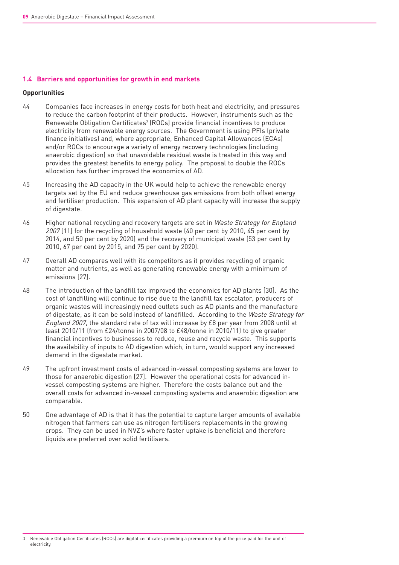#### **1.4 Barriers and opportunities for growth in end markets**

#### **Opportunities**

- 44 Companies face increases in energy costs for both heat and electricity, and pressures to reduce the carbon footprint of their products. However, instruments such as the Renewable Obligation Certificates<sup>3</sup> (ROCs) provide financial incentives to produce electricity from renewable energy sources. The Government is using PFIs (private finance initiatives) and, where appropriate, Enhanced Capital Allowances (ECAs) and/or ROCs to encourage a variety of energy recovery technologies (including anaerobic digestion) so that unavoidable residual waste is treated in this way and provides the greatest benefits to energy policy. The proposal to double the ROCs allocation has further improved the economics of AD.
- 45 Increasing the AD capacity in the UK would help to achieve the renewable energy targets set by the EU and reduce greenhouse gas emissions from both offset energy and fertiliser production. This expansion of AD plant capacity will increase the supply of digestate.
- 46 Higher national recycling and recovery targets are set in Waste Strategy for England 2007 [11] for the recycling of household waste (40 per cent by 2010, 45 per cent by 2014, and 50 per cent by 2020) and the recovery of municipal waste (53 per cent by 2010, 67 per cent by 2015, and 75 per cent by 2020).
- 47 Overall AD compares well with its competitors as it provides recycling of organic matter and nutrients, as well as generating renewable energy with a minimum of emissions [27].
- 48 The introduction of the landfill tax improved the economics for AD plants [30]. As the cost of landfilling will continue to rise due to the landfill tax escalator, producers of organic wastes will increasingly need outlets such as AD plants and the manufacture of digestate, as it can be sold instead of landfilled. According to the Waste Strategy for England 2007, the standard rate of tax will increase by £8 per year from 2008 until at least 2010/11 (from £24/tonne in 2007/08 to £48/tonne in 2010/11) to give greater financial incentives to businesses to reduce, reuse and recycle waste. This supports the availability of inputs to AD digestion which, in turn, would support any increased demand in the digestate market.
- 49 The upfront investment costs of advanced in-vessel composting systems are lower to those for anaerobic digestion [27]. However the operational costs for advanced invessel composting systems are higher. Therefore the costs balance out and the overall costs for advanced in-vessel composting systems and anaerobic digestion are comparable.
- 50 One advantage of AD is that it has the potential to capture larger amounts of available nitrogen that farmers can use as nitrogen fertilisers replacements in the growing crops. They can be used in NVZ's where faster uptake is beneficial and therefore liquids are preferred over solid fertilisers.

3 Renewable Obligation Certificates (ROCs) are digital certificates providing a premium on top of the price paid for the unit of electricity.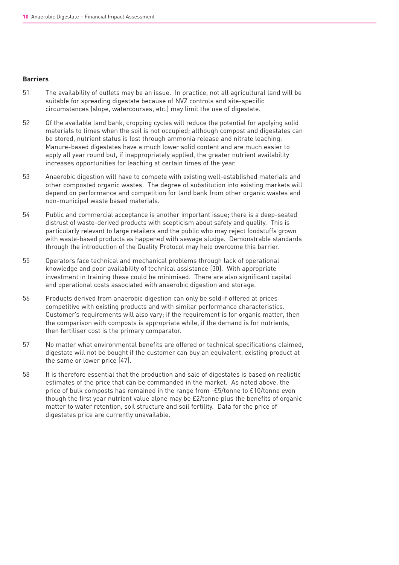#### **Barriers**

- 51 The availability of outlets may be an issue. In practice, not all agricultural land will be suitable for spreading digestate because of NVZ controls and site-specific circumstances (slope, watercourses, etc.) may limit the use of digestate.
- 52 Of the available land bank, cropping cycles will reduce the potential for applying solid materials to times when the soil is not occupied; although compost and digestates can be stored, nutrient status is lost through ammonia release and nitrate leaching. Manure-based digestates have a much lower solid content and are much easier to apply all year round but, if inappropriately applied, the greater nutrient availability increases opportunities for leaching at certain times of the year.
- 53 Anaerobic digestion will have to compete with existing well-established materials and other composted organic wastes. The degree of substitution into existing markets will depend on performance and competition for land bank from other organic wastes and non-municipal waste based materials.
- 54 Public and commercial acceptance is another important issue; there is a deep-seated distrust of waste-derived products with scepticism about safety and quality. This is particularly relevant to large retailers and the public who may reject foodstuffs grown with waste-based products as happened with sewage sludge. Demonstrable standards through the introduction of the Quality Protocol may help overcome this barrier.
- 55 Operators face technical and mechanical problems through lack of operational knowledge and poor availability of technical assistance [30]. With appropriate investment in training these could be minimised. There are also significant capital and operational costs associated with anaerobic digestion and storage.
- 56 Products derived from anaerobic digestion can only be sold if offered at prices competitive with existing products and with similar performance characteristics. Customer's requirements will also vary; if the requirement is for organic matter, then the comparison with composts is appropriate while, if the demand is for nutrients, then fertiliser cost is the primary comparator.
- 57 No matter what environmental benefits are offered or technical specifications claimed, digestate will not be bought if the customer can buy an equivalent, existing product at the same or lower price [47].
- 58 It is therefore essential that the production and sale of digestates is based on realistic estimates of the price that can be commanded in the market. As noted above, the price of bulk composts has remained in the range from -£5/tonne to £10/tonne even though the first year nutrient value alone may be £2/tonne plus the benefits of organic matter to water retention, soil structure and soil fertility. Data for the price of digestates price are currently unavailable.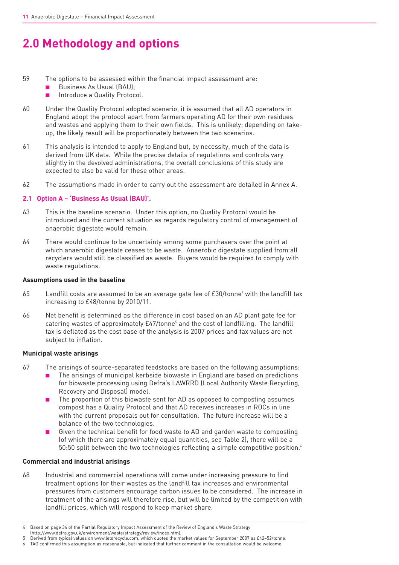# **2.0 Methodology and options**

- 59 The options to be assessed within the financial impact assessment are:
	- Business As Usual (BAU):
	- Introduce a Quality Protocol.
- 60 Under the Quality Protocol adopted scenario, it is assumed that all AD operators in England adopt the protocol apart from farmers operating AD for their own residues and wastes and applying them to their own fields. This is unlikely; depending on takeup, the likely result will be proportionately between the two scenarios.
- 61 This analysis is intended to apply to England but, by necessity, much of the data is derived from UK data. While the precise details of regulations and controls vary slightly in the devolved administrations, the overall conclusions of this study are expected to also be valid for these other areas.
- 62 The assumptions made in order to carry out the assessment are detailed in Annex A.

### **2.1 Option A – 'Business As Usual (BAU)'.**

- 63 This is the baseline scenario. Under this option, no Quality Protocol would be introduced and the current situation as regards regulatory control of management of anaerobic digestate would remain.
- 64 There would continue to be uncertainty among some purchasers over the point at which anaerobic digestate ceases to be waste. Anaerobic digestate supplied from all recyclers would still be classified as waste. Buyers would be required to comply with waste regulations.

#### **Assumptions used in the baseline**

- 65 Landfill costs are assumed to be an average gate fee of £30/tonne<sup>4</sup> with the landfill tax increasing to £48/tonne by 2010/11.
- 66 Net benefit is determined as the difference in cost based on an AD plant gate fee for catering wastes of approximately  $E47/tonne<sup>5</sup>$  and the cost of landfilling. The landfill tax is deflated as the cost base of the analysis is 2007 prices and tax values are not subject to inflation.

#### **Municipal waste arisings**

- 67 The arisings of source-separated feedstocks are based on the following assumptions:
	- The arisings of municipal kerbside biowaste in England are based on predictions for biowaste processing using Defra's LAWRRD (Local Authority Waste Recycling, Recovery and Disposal) model.
	- The proportion of this biowaste sent for AD as opposed to composting assumes compost has a Quality Protocol and that AD receives increases in ROCs in line with the current proposals out for consultation. The future increase will be a balance of the two technologies.
	- Given the technical benefit for food waste to AD and garden waste to composting (of which there are approximately equal quantities, see Table 2), there will be a  $50:50$  split between the two technologies reflecting a simple competitive position.<sup>6</sup>

#### **Commercial and industrial arisings**

68 Industrial and commercial operations will come under increasing pressure to find treatment options for their wastes as the landfill tax increases and environmental pressures from customers encourage carbon issues to be considered. The increase in treatment of the arisings will therefore rise, but will be limited by the competition with landfill prices, which will respond to keep market share.

<sup>4</sup> Based on page 34 of the Partial Regulatory Impact Assessment of the Review of England's Waste Strategy (http://www.defra.gov.uk/environment/waste/strategy/review/index.htm).

<sup>5</sup> Derived from typical values on www.letsrecycle.com, which quotes the market values for September 2007 as £42–52/tonne.

<sup>6</sup> TAG confirmed this assumption as reasonable, but indicated that further comment in the consultation would be welcome.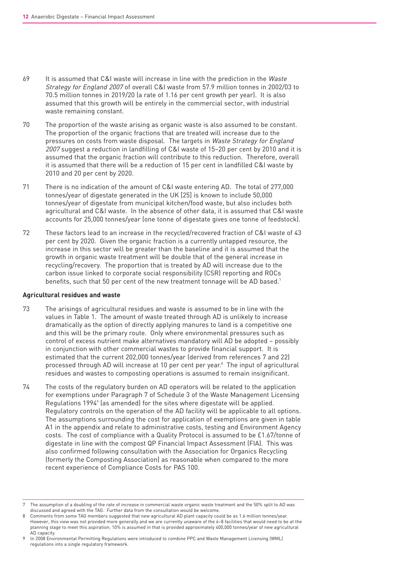- 69 It is assumed that C&I waste will increase in line with the prediction in the Waste Strategy for England 2007 of overall C&I waste from 57.9 million tonnes in 2002/03 to 70.5 million tonnes in 2019/20 (a rate of 1.16 per cent growth per year). It is also assumed that this growth will be entirely in the commercial sector, with industrial waste remaining constant.
- 70 The proportion of the waste arising as organic waste is also assumed to be constant. The proportion of the organic fractions that are treated will increase due to the pressures on costs from waste disposal. The targets in Waste Strategy for England 2007 suggest a reduction in landfilling of C&I waste of 15–20 per cent by 2010 and it is assumed that the organic fraction will contribute to this reduction. Therefore, overall it is assumed that there will be a reduction of 15 per cent in landfilled C&I waste by 2010 and 20 per cent by 2020.
- 71 There is no indication of the amount of C&I waste entering AD. The total of 277,000 tonnes/year of digestate generated in the UK [25] is known to include 50,000 tonnes/year of digestate from municipal kitchen/food waste, but also includes both agricultural and C&I waste. In the absence of other data, it is assumed that C&I waste accounts for 25,000 tonnes/year (one tonne of digestate gives one tonne of feedstock).
- 72 These factors lead to an increase in the recycled/recovered fraction of C&I waste of 43 per cent by 2020. Given the organic fraction is a currently untapped resource, the increase in this sector will be greater than the baseline and it is assumed that the growth in organic waste treatment will be double that of the general increase in recycling/recovery. The proportion that is treated by AD will increase due to the carbon issue linked to corporate social responsibility (CSR) reporting and ROCs benefits, such that 50 per cent of the new treatment tonnage will be AD based.<sup>7</sup>

#### **Agricultural residues and waste**

- 73 The arisings of agricultural residues and waste is assumed to be in line with the values in Table 1. The amount of waste treated through AD is unlikely to increase dramatically as the option of directly applying manures to land is a competitive one and this will be the primary route. Only where environmental pressures such as control of excess nutrient make alternatives mandatory will AD be adopted – possibly in conjunction with other commercial wastes to provide financial support. It is estimated that the current 202,000 tonnes/year (derived from references 7 and 22) processed through AD will increase at 10 per cent per year.8 The input of agricultural residues and wastes to composting operations is assumed to remain insignificant.
- 74 The costs of the regulatory burden on AD operators will be related to the application for exemptions under Paragraph 7 of Schedule 3 of the Waste Management Licensing Regulations 1994<sup>9</sup> (as amended) for the sites where digestate will be applied. Regulatory controls on the operation of the AD facility will be applicable to all options. The assumptions surrounding the cost for application of exemptions are given in table A1 in the appendix and relate to administrative costs, testing and Environment Agency costs. The cost of compliance with a Quality Protocol is assumed to be £1.67/tonne of digestate in line with the compost QP Financial Impact Assessment (FIA). This was also confirmed following consultation with the Association for Organics Recycling (formerly the Composting Association) as reasonable when compared to the more recent experience of Compliance Costs for PAS 100.

<sup>7</sup> The assumption of a doubling of the rate of increase in commercial waste organic waste treatment and the 50% split to AD was discussed and agreed with the TAG. Further data from the consultation would be welcome.

Comments from some TAG members suggested that new agricultural AD plant capacity could be as 1.6 million tonnes/year. However, this view was not provided more generally and we are currently unaware of the 4–8 facilities that would need to be at the planning stage to meet this aspiration; 10% is assumed in that is provided approximately 400,000 tonnes/year of new agricultural AD capacity.

<sup>9</sup> In 2008 Environmental Permitting Regulations were introduced to combine PPC and Waste Management Licensing (WML) regulations into a single regulatory framework.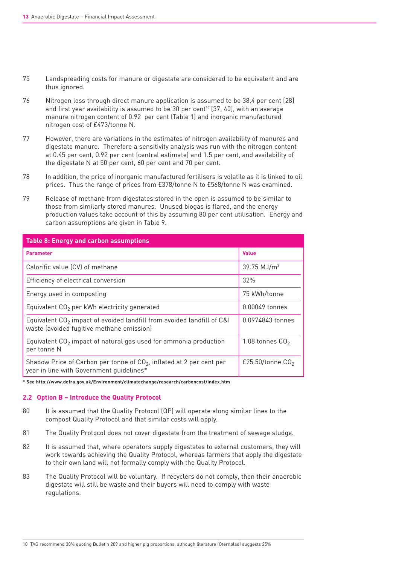- 75 Landspreading costs for manure or digestate are considered to be equivalent and are thus ignored.
- 76 Nitrogen loss through direct manure application is assumed to be 38.4 per cent [28] and first year availability is assumed to be 30 per cent<sup>10</sup> [37, 40], with an average manure nitrogen content of 0.92 per cent (Table 1) and inorganic manufactured nitrogen cost of £473/tonne N.
- 77 However, there are variations in the estimates of nitrogen availability of manures and digestate manure. Therefore a sensitivity analysis was run with the nitrogen content at 0.45 per cent, 0.92 per cent (central estimate) and 1.5 per cent, and availability of the digestate N at 50 per cent, 60 per cent and 70 per cent.
- 78 In addition, the price of inorganic manufactured fertilisers is volatile as it is linked to oil prices. Thus the range of prices from £378/tonne N to £568/tonne N was examined.
- 79 Release of methane from digestates stored in the open is assumed to be similar to those from similarly stored manures. Unused biogas is flared, and the energy production values take account of this by assuming 80 per cent utilisation. Energy and carbon assumptions are given in Table 9.

| <b>Table 8: Energy and carbon assumptions</b>                                                                         |                           |
|-----------------------------------------------------------------------------------------------------------------------|---------------------------|
| <b>Parameter</b>                                                                                                      | <b>Value</b>              |
| Calorific value (CV) of methane                                                                                       | $39.75$ MJ/m <sup>3</sup> |
| Efficiency of electrical conversion                                                                                   | 32%                       |
| Energy used in composting                                                                                             | 75 kWh/tonne              |
| Equivalent $CO2$ per kWh electricity generated                                                                        | 0.00049 tonnes            |
| Equivalent $CO2$ impact of avoided landfill from avoided landfill of C&I<br>waste (avoided fugitive methane emission) | 0.0974843 tonnes          |
| Equivalent $CO2$ impact of natural gas used for ammonia production<br>per tonne N                                     | 1.08 tonnes $CO2$         |
| Shadow Price of Carbon per tonne of $CO2$ , inflated at 2 per cent per<br>year in line with Government quidelines*    | £25.50/tonne $CO2$        |

**\* See http://www.defra.gov.uk/Environment/climatechange/research/carboncost/index.htm**

#### **2.2 Option B – Introduce the Quality Protocol**

- 80 It is assumed that the Quality Protocol (QP) will operate along similar lines to the compost Quality Protocol and that similar costs will apply.
- 81 The Quality Protocol does not cover digestate from the treatment of sewage sludge.
- 82 It is assumed that, where operators supply digestates to external customers, they will work towards achieving the Quality Protocol, whereas farmers that apply the digestate to their own land will not formally comply with the Quality Protocol.
- 83 The Quality Protocol will be voluntary. If recyclers do not comply, then their anaerobic digestate will still be waste and their buyers will need to comply with waste regulations.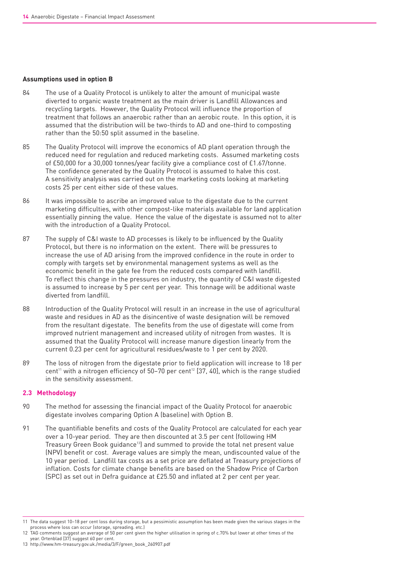#### **Assumptions used in option B**

- 84 The use of a Quality Protocol is unlikely to alter the amount of municipal waste diverted to organic waste treatment as the main driver is Landfill Allowances and recycling targets. However, the Quality Protocol will influence the proportion of treatment that follows an anaerobic rather than an aerobic route. In this option, it is assumed that the distribution will be two-thirds to AD and one-third to composting rather than the 50:50 split assumed in the baseline.
- 85 The Quality Protocol will improve the economics of AD plant operation through the reduced need for regulation and reduced marketing costs. Assumed marketing costs of £50,000 for a 30,000 tonnes/year facility give a compliance cost of £1.67/tonne. The confidence generated by the Quality Protocol is assumed to halve this cost. A sensitivity analysis was carried out on the marketing costs looking at marketing costs 25 per cent either side of these values.
- 86 It was impossible to ascribe an improved value to the digestate due to the current marketing difficulties, with other compost-like materials available for land application essentially pinning the value. Hence the value of the digestate is assumed not to alter with the introduction of a Quality Protocol.
- 87 The supply of C&I waste to AD processes is likely to be influenced by the Quality Protocol, but there is no information on the extent. There will be pressures to increase the use of AD arising from the improved confidence in the route in order to comply with targets set by environmental management systems as well as the economic benefit in the gate fee from the reduced costs compared with landfill. To reflect this change in the pressures on industry, the quantity of C&I waste digested is assumed to increase by 5 per cent per year. This tonnage will be additional waste diverted from landfill.
- 88 Introduction of the Quality Protocol will result in an increase in the use of agricultural waste and residues in AD as the disincentive of waste designation will be removed from the resultant digestate. The benefits from the use of digestate will come from improved nutrient management and increased utility of nitrogen from wastes. It is assumed that the Quality Protocol will increase manure digestion linearly from the current 0.23 per cent for agricultural residues/waste to 1 per cent by 2020.
- 89 The loss of nitrogen from the digestate prior to field application will increase to 18 per cent<sup>11</sup> with a nitrogen efficiency of  $50-70$  per cent<sup>12</sup> [37, 40], which is the range studied in the sensitivity assessment.

#### **2.3 Methodology**

- 90 The method for assessing the financial impact of the Quality Protocol for anaerobic digestate involves comparing Option A (baseline) with Option B.
- 91 The quantifiable benefits and costs of the Quality Protocol are calculated for each year over a 10-year period. They are then discounted at 3.5 per cent (following HM Treasury Green Book guidance<sup>13</sup>) and summed to provide the total net present value (NPV) benefit or cost. Average values are simply the mean, undiscounted value of the 10 year period. Landfill tax costs as a set price are deflated at Treasury projections of inflation. Costs for climate change benefits are based on the Shadow Price of Carbon (SPC) as set out in Defra guidance at £25.50 and inflated at 2 per cent per year.

- 12 TAG comments suggest an average of 50 per cent given the higher utilisation in spring of c.70% but lower at other times of the year. Ortenblad [37] suggest 60 per cent.
- 13 http://www.hm-treasury.gov.uk./media/3/F/green\_book\_260907.pdf

<sup>11</sup> The data suggest 10–18 per cent loss during storage, but a pessimistic assumption has been made given the various stages in the process where loss can occur (storage, spreading. etc.)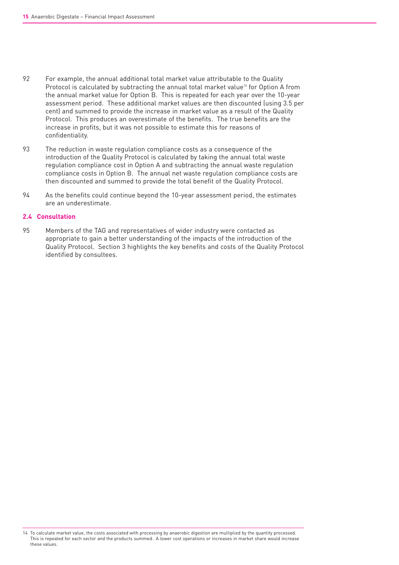- 92 For example, the annual additional total market value attributable to the Quality Protocol is calculated by subtracting the annual total market value<sup>14</sup> for Option A from the annual market value for Option B. This is repeated for each year over the 10-year assessment period. These additional market values are then discounted (using 3.5 per cent) and summed to provide the increase in market value as a result of the Quality Protocol. This produces an overestimate of the benefits. The true benefits are the increase in profits, but it was not possible to estimate this for reasons of confidentiality.
- 93 The reduction in waste regulation compliance costs as a consequence of the introduction of the Quality Protocol is calculated by taking the annual total waste regulation compliance cost in Option A and subtracting the annual waste regulation compliance costs in Option B. The annual net waste regulation compliance costs are then discounted and summed to provide the total benefit of the Quality Protocol.
- 94 As the benefits could continue beyond the 10-year assessment period, the estimates are an underestimate.

### **2.4 Consultation**

95 Members of the TAG and representatives of wider industry were contacted as appropriate to gain a better understanding of the impacts of the introduction of the Quality Protocol. Section 3 highlights the key benefits and costs of the Quality Protocol identified by consultees.

<sup>14</sup> To calculate market value, the costs associated with processing by anaerobic digestion are multiplied by the quantity processed. This is repeated for each sector and the products summed. A lower cost operations or increases in market share would increase these values.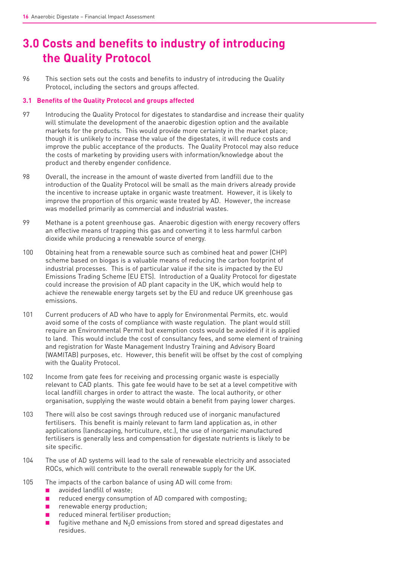# **3.0 Costs and benefits to industry of introducing the Quality Protocol**

96 This section sets out the costs and benefits to industry of introducing the Quality Protocol, including the sectors and groups affected.

### **3.1 Benefits of the Quality Protocol and groups affected**

- 97 Introducing the Quality Protocol for digestates to standardise and increase their quality will stimulate the development of the anaerobic digestion option and the available markets for the products. This would provide more certainty in the market place; though it is unlikely to increase the value of the digestates, it will reduce costs and improve the public acceptance of the products. The Quality Protocol may also reduce the costs of marketing by providing users with information/knowledge about the product and thereby engender confidence.
- 98 Overall, the increase in the amount of waste diverted from landfill due to the introduction of the Quality Protocol will be small as the main drivers already provide the incentive to increase uptake in organic waste treatment. However, it is likely to improve the proportion of this organic waste treated by AD. However, the increase was modelled primarily as commercial and industrial wastes.
- 99 Methane is a potent greenhouse gas. Anaerobic digestion with energy recovery offers an effective means of trapping this gas and converting it to less harmful carbon dioxide while producing a renewable source of energy.
- 100 Obtaining heat from a renewable source such as combined heat and power (CHP) scheme based on biogas is a valuable means of reducing the carbon footprint of industrial processes. This is of particular value if the site is impacted by the EU Emissions Trading Scheme (EU ETS). Introduction of a Quality Protocol for digestate could increase the provision of AD plant capacity in the UK, which would help to achieve the renewable energy targets set by the EU and reduce UK greenhouse gas emissions.
- 101 Current producers of AD who have to apply for Environmental Permits, etc. would avoid some of the costs of compliance with waste regulation. The plant would still require an Environmental Permit but exemption costs would be avoided if it is applied to land. This would include the cost of consultancy fees, and some element of training and registration for Waste Management Industry Training and Advisory Board (WAMITAB) purposes, etc. However, this benefit will be offset by the cost of complying with the Quality Protocol.
- 102 Income from gate fees for receiving and processing organic waste is especially relevant to CAD plants. This gate fee would have to be set at a level competitive with local landfill charges in order to attract the waste. The local authority, or other organisation, supplying the waste would obtain a benefit from paying lower charges.
- 103 There will also be cost savings through reduced use of inorganic manufactured fertilisers. This benefit is mainly relevant to farm land application as, in other applications (landscaping, horticulture, etc.), the use of inorganic manufactured fertilisers is generally less and compensation for digestate nutrients is likely to be site specific.
- 104 The use of AD systems will lead to the sale of renewable electricity and associated ROCs, which will contribute to the overall renewable supply for the UK.
- 105 The impacts of the carbon balance of using AD will come from:
	- avoided landfill of waste:
	- reduced energy consumption of AD compared with composting;
	- renewable energy production:
	- reduced mineral fertiliser production:
	- **■** fugitive methane and  $N_2O$  emissions from stored and spread digestates and residues.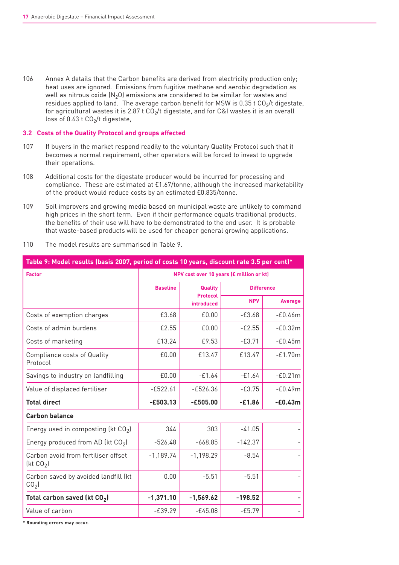106 Annex A details that the Carbon benefits are derived from electricity production only; heat uses are ignored. Emissions from fugitive methane and aerobic degradation as well as nitrous oxide  $(N_2O)$  emissions are considered to be similar for wastes and residues applied to land. The average carbon benefit for MSW is  $0.35$  t  $CO<sub>2</sub>/t$  digestate, for agricultural wastes it is 2.87 t  $CO<sub>2</sub>/t$  digestate, and for C&I wastes it is an overall loss of 0.63 t  $CO<sub>2</sub>/t$  digestate,

#### **3.2 Costs of the Quality Protocol and groups affected**

- 107 If buyers in the market respond readily to the voluntary Quality Protocol such that it becomes a normal requirement, other operators will be forced to invest to upgrade their operations.
- 108 Additional costs for the digestate producer would be incurred for processing and compliance. These are estimated at £1.67/tonne, although the increased marketability of the product would reduce costs by an estimated £0.835/tonne.
- 109 Soil improvers and growing media based on municipal waste are unlikely to command high prices in the short term. Even if their performance equals traditional products, the benefits of their use will have to be demonstrated to the end user. It is probable that waste-based products will be used for cheaper general growing applications.

| 110 |  |  |  | The model results are summarised in Table 9. |  |  |  |  |
|-----|--|--|--|----------------------------------------------|--|--|--|--|
|-----|--|--|--|----------------------------------------------|--|--|--|--|

| Table 9: Model results (basis 2007, period of costs 10 years, discount rate 3.5 per cent)* |                                          |                                      |            |                   |  |  |  |
|--------------------------------------------------------------------------------------------|------------------------------------------|--------------------------------------|------------|-------------------|--|--|--|
| <b>Factor</b>                                                                              | NPV cost over 10 years (£ million or kt) |                                      |            |                   |  |  |  |
|                                                                                            | <b>Baseline</b>                          | Quality                              |            | <b>Difference</b> |  |  |  |
|                                                                                            |                                          | <b>Protocol</b><br><b>introduced</b> | <b>NPV</b> | Average           |  |  |  |
| Costs of exemption charges                                                                 | £3.68                                    | £0.00                                | $-E3.68$   | $-60.46m$         |  |  |  |
| Costs of admin burdens                                                                     | £2.55                                    | £0.00                                | $-E2.55$   | $-E0.32m$         |  |  |  |
| Costs of marketing                                                                         | £13.24                                   | £9.53                                | $-E3.71$   | $-£0.45m$         |  |  |  |
| <b>Compliance costs of Quality</b><br>Protocol                                             | £0.00                                    | £13.47                               | £13.47     | $-E1.70m$         |  |  |  |
| Savings to industry on landfilling                                                         | £0.00                                    | $-61.64$                             | $-61.64$   | $-£0.21m$         |  |  |  |
| Value of displaced fertiliser                                                              | $-£522.61$                               | $-£526.36$                           | $-63.75$   | $-60.49m$         |  |  |  |
| <b>Total direct</b>                                                                        | $-£503.13$                               | $-£505.00$                           | $-£1.86$   | $-E0.43m$         |  |  |  |
| <b>Carbon balance</b>                                                                      |                                          |                                      |            |                   |  |  |  |
| Energy used in composting (kt $CO2$ )                                                      | 344                                      | 303                                  | $-41.05$   |                   |  |  |  |
| Energy produced from AD (kt $CO2$ )                                                        | $-526.48$                                | $-668.85$                            | $-142.37$  |                   |  |  |  |
| Carbon avoid from fertiliser offset<br>[kt CO <sub>2</sub> ]                               | $-1,189.74$                              | $-1,198.29$                          | $-8.54$    |                   |  |  |  |
| Carbon saved by avoided landfill (kt<br>CO <sub>2</sub>                                    | 0.00                                     | $-5.51$                              | $-5.51$    |                   |  |  |  |
| Total carbon saved (kt $CO2$ )                                                             | $-1,371.10$                              | $-1,569.62$                          | $-198.52$  |                   |  |  |  |
| Value of carbon                                                                            | $-£39.29$                                | $-E45.08$                            | $-£5.79$   |                   |  |  |  |

**\* Rounding errors may occur.**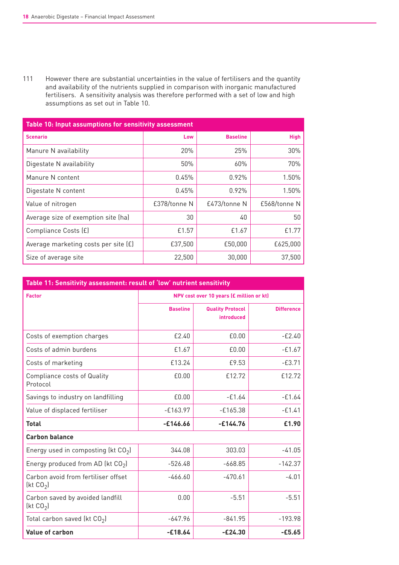111 However there are substantial uncertainties in the value of fertilisers and the quantity and availability of the nutrients supplied in comparison with inorganic manufactured fertilisers. A sensitivity analysis was therefore performed with a set of low and high assumptions as set out in Table 10.

| Table 10: Input assumptions for sensitivity assessment |              |                 |              |  |  |  |  |
|--------------------------------------------------------|--------------|-----------------|--------------|--|--|--|--|
| <b>Scenario</b>                                        | Low          | <b>Baseline</b> | <b>High</b>  |  |  |  |  |
| Manure N availability                                  | 20%          | 25%             | 30%          |  |  |  |  |
| Digestate N availability                               | 50%          | 60%             | 70%          |  |  |  |  |
| Manure N content                                       | $0.45\%$     | 0.92%           | 1.50%        |  |  |  |  |
| Digestate N content                                    | 0.45%        | 0.92%           | 1.50%        |  |  |  |  |
| Value of nitrogen                                      | £378/tonne N | £473/tonne N    | £568/tonne N |  |  |  |  |
| Average size of exemption site (ha)                    | 30           | 40              | 50           |  |  |  |  |
| Compliance Costs (£)                                   | £1.57        | £1.67           | f 1.77       |  |  |  |  |
| Average marketing costs per site (£)                   | £37,500      | £50,000         | £625,000     |  |  |  |  |
| Size of average site                                   | 22,500       | 30,000          | 37,500       |  |  |  |  |

| Table 11: Sensitivity assessment: result of 'low' nutrient sensitivity |                                          |                                       |                   |  |
|------------------------------------------------------------------------|------------------------------------------|---------------------------------------|-------------------|--|
| <b>Factor</b>                                                          | NPV cost over 10 years (£ million or kt) |                                       |                   |  |
|                                                                        | <b>Baseline</b>                          | <b>Quality Protocol</b><br>introduced | <b>Difference</b> |  |
| Costs of exemption charges                                             | £2.40                                    | £0.00                                 | $-E2.40$          |  |
| Costs of admin burdens                                                 | £1.67                                    | £0.00                                 | $-£1.67$          |  |
| Costs of marketing                                                     | £13.24                                   | £9.53                                 | $-E3.71$          |  |
| Compliance costs of Quality<br>Protocol                                | £0.00                                    | £12.72                                | £12.72            |  |
| Savings to industry on landfilling                                     | £0.00                                    | $-£1.64$                              | $-£1.64$          |  |
| Value of displaced fertiliser                                          | $-E163.97$                               | $-E165.38$                            | $-E1.41$          |  |
| <b>Total</b>                                                           | $-£146.66$                               | $-£144.76$                            | £1.90             |  |
| <b>Carbon balance</b>                                                  |                                          |                                       |                   |  |
| Energy used in composting (kt $CO2$ )                                  | 344.08                                   | 303.03                                | $-41.05$          |  |
| Energy produced from AD (kt $CO2$ )                                    | $-526.48$                                | $-668.85$                             | $-142.37$         |  |
| Carbon avoid from fertiliser offset<br>[kt CO <sub>2</sub> ]           | $-466.60$                                | $-470.61$                             | $-4.01$           |  |
| Carbon saved by avoided landfill<br>[kt CO <sub>2</sub> ]              | 0.00                                     | $-5.51$                               | $-5.51$           |  |
| Total carbon saved (kt $CO2$ )                                         | $-647.96$                                | $-841.95$                             | $-193.98$         |  |
| Value of carbon                                                        | $-£18.64$                                | $-E24.30$                             | $-£5.65$          |  |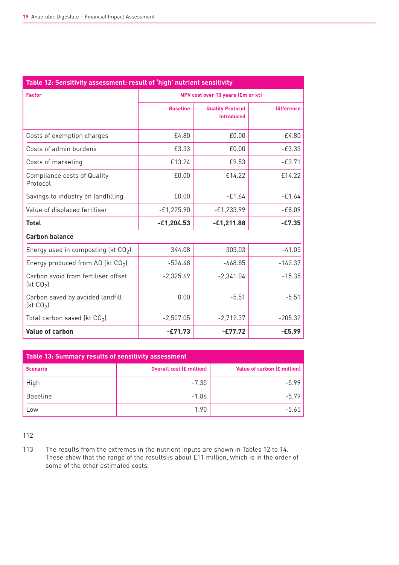| Table 12: Sensitivity assessment: result of 'high' nutrient sensitivity |                                   |                                       |                   |  |
|-------------------------------------------------------------------------|-----------------------------------|---------------------------------------|-------------------|--|
| <b>Factor</b>                                                           | NPV cost over 10 years (£m or kt) |                                       |                   |  |
|                                                                         | <b>Baseline</b>                   | <b>Quality Protocol</b><br>introduced | <b>Difference</b> |  |
| Costs of exemption charges                                              | £4.80                             | £0.00                                 | $-E4.80$          |  |
| Costs of admin burdens                                                  | £3.33                             | £0.00                                 | $-E3.33$          |  |
| Costs of marketing                                                      | £13.24                            | £9.53                                 | $-63.71$          |  |
| Compliance costs of Quality<br>Protocol                                 | £0.00                             | £14.22                                | £14.22            |  |
| Savings to industry on landfilling                                      | £0.00                             | $-£1.64$                              | $-£1.64$          |  |
| Value of displaced fertiliser                                           | $-E1,225.90$                      | $-E1,233.99$                          | $-68.09$          |  |
| <b>Total</b>                                                            | $-£1,204.53$                      | $-E1,211.88$                          | $-E7.35$          |  |
| <b>Carbon balance</b>                                                   |                                   |                                       |                   |  |
| Energy used in composting (kt $CO2$ )                                   | 344.08                            | 303.03                                | $-41.05$          |  |
| Energy produced from AD (kt $CO2$ )                                     | $-526.48$                         | $-668.85$                             | $-142.37$         |  |
| Carbon avoid from fertiliser offset<br>[kt CO <sub>2</sub> ]            | $-2,325.69$                       | $-2,341.04$                           | $-15.35$          |  |
| Carbon saved by avoided landfill<br>[kt CO <sub>2</sub> ]               | 0.00                              | $-5.51$                               | $-5.51$           |  |
| Total carbon saved (kt $CO2$ )                                          | $-2,507.05$                       | $-2,712.37$                           | $-205.32$         |  |
| Value of carbon                                                         | $-E71.73$                         | $-E77.72$                             | $-£5.99$          |  |

| Table 13: Summary results of sensitivity assessment |                                 |                             |  |
|-----------------------------------------------------|---------------------------------|-----------------------------|--|
| <b>Scenario</b>                                     | <b>Overall cost (£ million)</b> | Value of carbon (£ million) |  |
| High                                                | $-7.35$                         | $-5.99$                     |  |
| <b>Baseline</b>                                     | $-1.86$                         | $-5.79$                     |  |
| Low                                                 | 1.90                            | $-5.65$                     |  |

112

113 The results from the extremes in the nutrient inputs are shown in Tables 12 to 14. The results from the skillings in the results is about £11 million, which is in the order of some of the other estimated costs.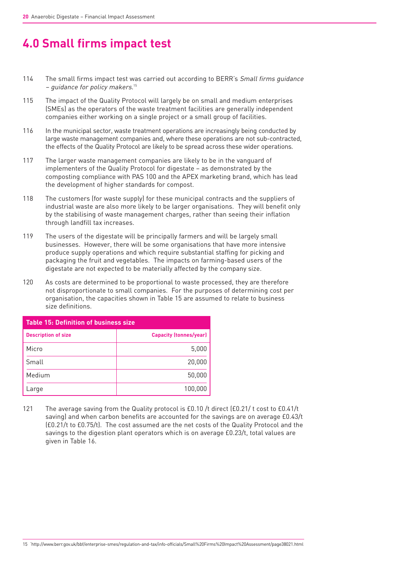# **4.0 Small firms impact test**

- 114 The small firms impact test was carried out according to BERR's Small firms quidance – guidance for policy makers. 15
- 115 The impact of the Quality Protocol will largely be on small and medium enterprises (SMEs) as the operators of the waste treatment facilities are generally independent companies either working on a single project or a small group of facilities.
- 116 In the municipal sector, waste treatment operations are increasingly being conducted by large waste management companies and, where these operations are not sub-contracted, the effects of the Quality Protocol are likely to be spread across these wider operations.
- 117 The larger waste management companies are likely to be in the vanguard of implementers of the Quality Protocol for digestate – as demonstrated by the composting compliance with PAS 100 and the APEX marketing brand, which has lead the development of higher standards for compost.
- 118 The customers (for waste supply) for these municipal contracts and the suppliers of industrial waste are also more likely to be larger organisations. They will benefit only by the stabilising of waste management charges, rather than seeing their inflation through landfill tax increases.
- 119 The users of the digestate will be principally farmers and will be largely small businesses. However, there will be some organisations that have more intensive produce supply operations and which require substantial staffing for picking and packaging the fruit and vegetables. The impacts on farming-based users of the digestate are not expected to be materially affected by the company size.
- 120 As costs are determined to be proportional to waste processed, they are therefore not disproportionate to small companies. For the purposes of determining cost per organisation, the capacities shown in Table 15 are assumed to relate to business size definitions.

| <b>Table 15: Definition of business size</b> |                               |  |
|----------------------------------------------|-------------------------------|--|
| <b>Description of size</b>                   | <b>Capacity (tonnes/year)</b> |  |
| Micro                                        | 5,000                         |  |
| Small                                        | 20,000                        |  |
| Medium                                       | 50,000                        |  |
| Large                                        | 100,000                       |  |

121 The average saving from the Quality protocol is £0.10 /t direct (£0.21/ t cost to £0.41/t saving) and when carbon benefits are accounted for the savings are on average £0.43/t (£0.21/t to £0.75/t). The cost assumed are the net costs of the Quality Protocol and the savings to the digestion plant operators which is on average £0.23/t, total values are given in Table 16.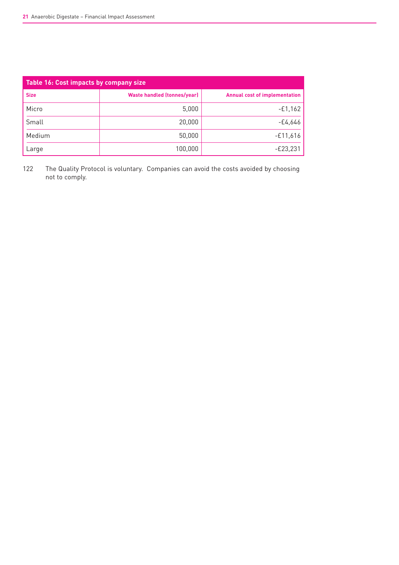| Table 16: Cost impacts by company size |                                    |                                      |  |
|----------------------------------------|------------------------------------|--------------------------------------|--|
| <b>Size</b>                            | <b>Waste handled (tonnes/year)</b> | <b>Annual cost of implementation</b> |  |
| Micro                                  | 5,000                              | $-£1,162$                            |  |
| Small                                  | 20,000                             | -£4,646                              |  |
| Medium                                 | 50,000                             | $-£11,616$                           |  |
| Large                                  | 100,000                            | -£23,231                             |  |

122 The Quality Protocol is voluntary. Companies can avoid the costs avoided by choosing not to comply.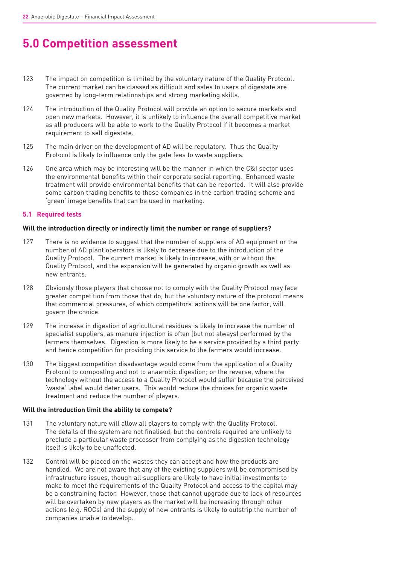# **5.0 Competition assessment**

- 123 The impact on competition is limited by the voluntary nature of the Quality Protocol. The current market can be classed as difficult and sales to users of digestate are governed by long-term relationships and strong marketing skills.
- 124 The introduction of the Quality Protocol will provide an option to secure markets and open new markets. However, it is unlikely to influence the overall competitive market as all producers will be able to work to the Quality Protocol if it becomes a market requirement to sell digestate.
- 125 The main driver on the development of AD will be regulatory. Thus the Quality Protocol is likely to influence only the gate fees to waste suppliers.
- 126 One area which may be interesting will be the manner in which the C&I sector uses the environmental benefits within their corporate social reporting. Enhanced waste treatment will provide environmental benefits that can be reported. It will also provide some carbon trading benefits to those companies in the carbon trading scheme and 'green' image benefits that can be used in marketing.

### **5.1 Required tests**

#### **Will the introduction directly or indirectly limit the number or range of suppliers?**

- 127 There is no evidence to suggest that the number of suppliers of AD equipment or the number of AD plant operators is likely to decrease due to the introduction of the Quality Protocol. The current market is likely to increase, with or without the Quality Protocol, and the expansion will be generated by organic growth as well as new entrants.
- 128 Obviously those players that choose not to comply with the Quality Protocol may face greater competition from those that do, but the voluntary nature of the protocol means that commercial pressures, of which competitors' actions will be one factor, will govern the choice.
- 129 The increase in digestion of agricultural residues is likely to increase the number of specialist suppliers, as manure injection is often (but not always) performed by the farmers themselves. Digestion is more likely to be a service provided by a third party and hence competition for providing this service to the farmers would increase.
- 130 The biggest competition disadvantage would come from the application of a Quality Protocol to composting and not to anaerobic digestion; or the reverse, where the technology without the access to a Quality Protocol would suffer because the perceived 'waste' label would deter users. This would reduce the choices for organic waste treatment and reduce the number of players.

#### **Will the introduction limit the ability to compete?**

- 131 The voluntary nature will allow all players to comply with the Quality Protocol. The details of the system are not finalised, but the controls required are unlikely to preclude a particular waste processor from complying as the digestion technology itself is likely to be unaffected.
- 132 Control will be placed on the wastes they can accept and how the products are handled. We are not aware that any of the existing suppliers will be compromised by infrastructure issues, though all suppliers are likely to have initial investments to make to meet the requirements of the Quality Protocol and access to the capital may be a constraining factor. However, those that cannot upgrade due to lack of resources will be overtaken by new players as the market will be increasing through other actions (e.g. ROCs) and the supply of new entrants is likely to outstrip the number of companies unable to develop.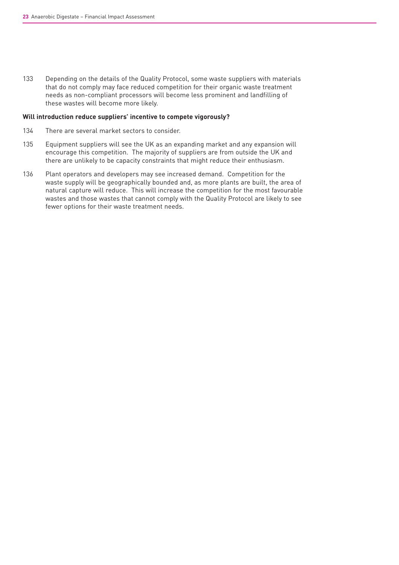133 Depending on the details of the Quality Protocol, some waste suppliers with materials that do not comply may face reduced competition for their organic waste treatment needs as non-compliant processors will become less prominent and landfilling of these wastes will become more likely.

#### **Will introduction reduce suppliers' incentive to compete vigorously?**

- 134 There are several market sectors to consider.
- 135 Equipment suppliers will see the UK as an expanding market and any expansion will encourage this competition. The majority of suppliers are from outside the UK and there are unlikely to be capacity constraints that might reduce their enthusiasm.
- 136 Plant operators and developers may see increased demand. Competition for the waste supply will be geographically bounded and, as more plants are built, the area of natural capture will reduce. This will increase the competition for the most favourable wastes and those wastes that cannot comply with the Quality Protocol are likely to see fewer options for their waste treatment needs.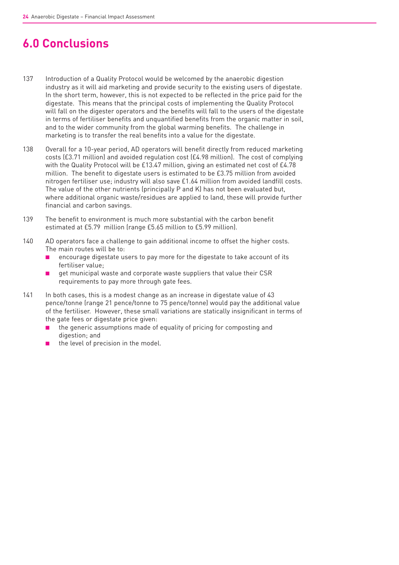# **6.0 Conclusions**

- 137 Introduction of a Quality Protocol would be welcomed by the anaerobic digestion industry as it will aid marketing and provide security to the existing users of digestate. In the short term, however, this is not expected to be reflected in the price paid for the digestate. This means that the principal costs of implementing the Quality Protocol will fall on the digester operators and the benefits will fall to the users of the digestate in terms of fertiliser benefits and unquantified benefits from the organic matter in soil, and to the wider community from the global warming benefits. The challenge in marketing is to transfer the real benefits into a value for the digestate.
- 138 Overall for a 10-year period, AD operators will benefit directly from reduced marketing costs (£3.71 million) and avoided regulation cost (£4.98 million). The cost of complying with the Quality Protocol will be £13.47 million, giving an estimated net cost of £4.78 million. The benefit to digestate users is estimated to be £3.75 million from avoided nitrogen fertiliser use; industry will also save £1.64 million from avoided landfill costs. The value of the other nutrients (principally P and K) has not been evaluated but, where additional organic waste/residues are applied to land, these will provide further financial and carbon savings.
- 139 The benefit to environment is much more substantial with the carbon benefit estimated at £5.79 million (range £5.65 million to £5.99 million).
- 140 AD operators face a challenge to gain additional income to offset the higher costs. The main routes will be to:
	- encourage digestate users to pay more for the digestate to take account of its fertiliser value;
	- get municipal waste and corporate waste suppliers that value their CSR requirements to pay more through gate fees.
- 141 In both cases, this is a modest change as an increase in digestate value of 43 pence/tonne (range 21 pence/tonne to 75 pence/tonne) would pay the additional value of the fertiliser. However, these small variations are statically insignificant in terms of the gate fees or digestate price given:
	- the generic assumptions made of equality of pricing for composting and digestion; and
	- the level of precision in the model.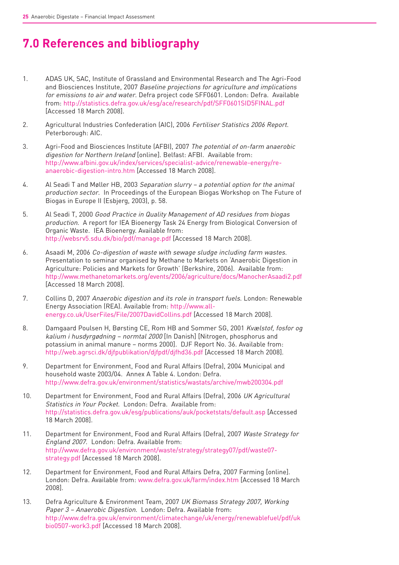# **7.0 References and bibliography**

- 1. ADAS UK, SAC, Institute of Grassland and Environmental Research and The Agri-Food and Biosciences Institute, 2007 Baseline projections for agriculture and implications for emissions to air and water. Defra project code SFF0601. London: Defra. Available from: http://statistics.defra.gov.uk/esg/ace/research/pdf/SFF0601SID5FINAL.pdf [Accessed 18 March 2008].
- 2. Agricultural Industries Confederation (AIC), 2006 Fertiliser Statistics 2006 Report. Peterborough: AIC.
- 3. Agri-Food and Biosciences Institute (AFBI), 2007 The potential of on-farm anaerobic digestion for Northern Ireland [online]. Belfast: AFBI. Available from: http://www.afbini.gov.uk/index/services/specialist-advice/renewable-energy/reanaerobic-digestion-intro.htm [Accessed 18 March 2008].
- 4. Al Seadi T and Møller HB, 2003 Separation slurry a potential option for the animal production sector. In Proceedings of the European Biogas Workshop on The Future of Biogas in Europe II (Esbjerg, 2003), p. 58.
- 5. Al Seadi T, 2000 Good Practice in Quality Management of AD residues from biogas production. A report for IEA Bioenergy Task 24 Energy from Biological Conversion of Organic Waste. IEA Bioenergy. Available from: http://websrv5.sdu.dk/bio/pdf/manage.pdf [Accessed 18 March 2008].
- 6. Asaadi M, 2006 Co-digestion of waste with sewage sludge including farm wastes. Presentation to seminar organised by Methane to Markets on 'Anaerobic Digestion in Agriculture: Policies and Markets for Growth' (Berkshire, 2006). Available from: http://www.methanetomarkets.org/events/2006/agriculture/docs/ManocherAsaadi2.pdf [Accessed 18 March 2008].
- 7. Collins D, 2007 Anaerobic digestion and its role in transport fuels. London: Renewable Energy Association (REA). Available from: http://www.allenergy.co.uk/UserFiles/File/2007DavidCollins.pdf [Accessed 18 March 2008].
- 8. Damgaard Poulsen H, Børsting CE, Rom HB and Sommer SG, 2001 Kvælstof, fosfor og kalium i husdyrgødning – normtal 2000 [In Danish] [Nitrogen, phosphorus and potassium in animal manure – norms 2000]. DJF Report No. 36. Available from: http://web.agrsci.dk/djfpublikation/djfpdf/djfhd36.pdf [Accessed 18 March 2008].
- 9. Department for Environment, Food and Rural Affairs (Defra), 2004 Municipal and household waste 2003/04. Annex A Table 4. London: Defra. http://www.defra.gov.uk/environment/statistics/wastats/archive/mwb200304.pdf
- 10. Department for Environment, Food and Rural Affairs (Defra), 2006 UK Agricultural Statistics in Your Pocket. London: Defra. Available from: http://statistics.defra.gov.uk/esg/publications/auk/pocketstats/default.asp [Accessed 18 March 2008].
- 11. Department for Environment, Food and Rural Affairs (Defra), 2007 Waste Strategy for England 2007. London: Defra. Available from: http://www.defra.gov.uk/environment/waste/strategy/strategy07/pdf/waste07 strategy.pdf [Accessed 18 March 2008].
- 12. Department for Environment, Food and Rural Affairs Defra, 2007 Farming [online]. London: Defra. Available from: www.defra.gov.uk/farm/index.htm [Accessed 18 March 2008].
- 13. Defra Agriculture & Environment Team, 2007 UK Biomass Strategy 2007, Working Paper 3 – Anaerobic Digestion. London: Defra. Available from: http://www.defra.gov.uk/environment/climatechange/uk/energy/renewablefuel/pdf/uk bio0507-work3.pdf [Accessed 18 March 2008].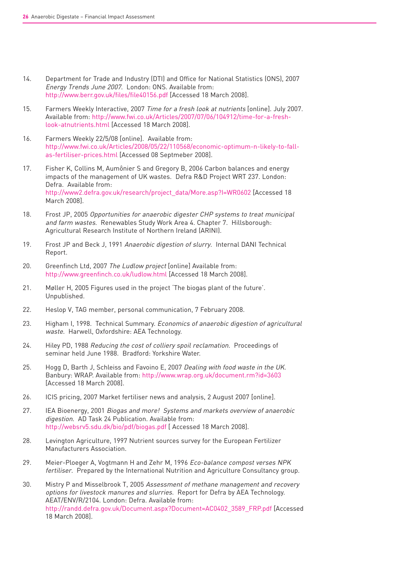- 14. Department for Trade and Industry (DTI) and Office for National Statistics (ONS), 2007 Energy Trends June 2007. London: ONS. Available from: http://www.berr.gov.uk/files/file40156.pdf [Accessed 18 March 2008].
- 15. Farmers Weekly Interactive, 2007 Time for a fresh look at nutrients [online]. July 2007. Available from: http://www.fwi.co.uk/Articles/2007/07/06/104912/time-for-a-freshlook-atnutrients.html [Accessed 18 March 2008].
- 16. Farmers Weekly 22/5/08 [online]. Available from: http://www.fwi.co.uk/Articles/2008/05/22/110568/economic-optimum-n-likely-to-fallas-fertiliser-prices.html [Accessed 08 Septmeber 2008].
- 17. Fisher K, Collins M, Aumônier S and Gregory B, 2006 Carbon balances and energy impacts of the management of UK wastes. Defra R&D Project WRT 237. London: Defra. Available from: http://www2.defra.gov.uk/research/project\_data/More.asp?I=WR0602 [Accessed 18 March 2008].
- 18. Frost JP, 2005 Opportunities for anaerobic digester CHP systems to treat municipal and farm wastes. Renewables Study Work Area 4. Chapter 7. Hillsborough: Agricultural Research Institute of Northern Ireland (ARINI).
- 19. Frost JP and Beck J, 1991 Anaerobic digestion of slurry. Internal DANI Technical Report.
- 20. Greenfinch Ltd, 2007 The Ludlow project [online] Available from: http://www.greenfinch.co.uk/ludlow.html [Accessed 18 March 2008].
- 21. Møller H, 2005 Figures used in the project 'The biogas plant of the future'. Unpublished.
- 22. Heslop V, TAG member, personal communication, 7 February 2008.
- 23. Higham I, 1998. Technical Summary. *Economics of anaerobic digestion of agricultural* waste. Harwell, Oxfordshire: AEA Technology.
- 24. Hiley PD, 1988 Reducing the cost of colliery spoil reclamation. Proceedings of seminar held June 1988. Bradford: Yorkshire Water.
- 25. Hogg D, Barth J, Schleiss and Favoino E, 2007 Dealing with food waste in the UK. Banbury: WRAP. Available from: http://www.wrap.org.uk/document.rm?id=3603 [Accessed 18 March 2008].
- 26. ICIS pricing, 2007 Market fertiliser news and analysis, 2 August 2007 [online].
- 27. IEA Bioenergy, 2001 Biogas and more! Systems and markets overview of anaerobic digestion. AD Task 24 Publication. Available from: http://websrv5.sdu.dk/bio/pdf/biogas.pdf [ Accessed 18 March 2008].
- 28. Levington Agriculture, 1997 Nutrient sources survey for the European Fertilizer Manufacturers Association.
- 29. Meier-Ploeger A, Vogtmann H and Zehr M, 1996 Eco-balance compost verses NPK fertiliser. Prepared by the International Nutrition and Agriculture Consultancy group.
- 30. Mistry P and Misselbrook T, 2005 Assessment of methane management and recovery options for livestock manures and slurries. Report for Defra by AEA Technology. AEAT/ENV/R/2104. London: Defra. Available from: http://randd.defra.gov.uk/Document.aspx?Document=AC0402\_3589\_FRP.pdf [Accessed 18 March 2008].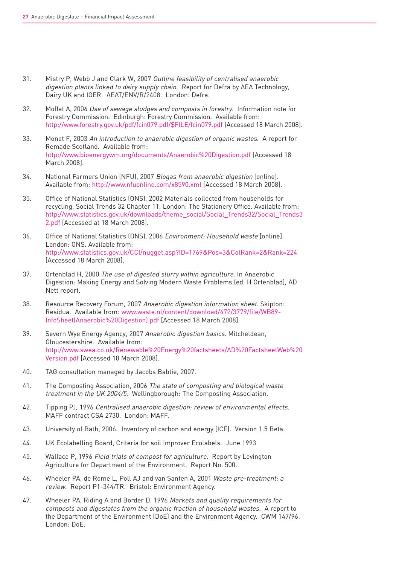- 31. Mistry P, Webb J and Clark W, 2007 Outline feasibility of centralised anaerobic digestion plants linked to dairy supply chain. Report for Defra by AEA Technology, Dairy UK and IGER. AEAT/ENV/R/2408. London: Defra.
- 32. Moffat A, 2006 Use of sewage sludges and composts in forestry. Information note for Forestry Commission. Edinburgh: Forestry Commission. Available from: http://www.forestry.gov.uk/pdf/fcin079.pdf/\$FILE/fcin079.pdf [Accessed 18 March 2008].
- 33. Monet F, 2003 An introduction to anaerobic digestion of organic wastes. A report for Remade Scotland. Available from: http://www.bioenergywm.org/documents/Anaerobic%20Digestion.pdf [Accessed 18 March 2008].
- 34. National Farmers Union (NFU), 2007 Biogas from anaerobic digestion [online]. Available from: http://www.nfuonline.com/x8590.xml [Accessed 18 March 2008].
- 35. Office of National Statistics (ONS), 2002 Materials collected from households for recycling. Social Trends 32 Chapter 11. London: The Stationery Office. Available from: http://www.statistics.gov.uk/downloads/theme\_social/Social\_Trends32/Social\_Trends3 2.pdf [Accessed at 18 March 2008].
- 36. Office of National Statistics (ONS), 2006 Environment: Household waste [online]. London: ONS. Available from: http://www.statistics.gov.uk/CCI/nugget.asp?ID=1769&Pos=3&ColRank=2&Rank=224 [Accessed 18 March 2008].
- 37. Ortenblad H, 2000 The use of digested slurry within agriculture. In Anaerobic Digestion: Making Energy and Solving Modern Waste Problems (ed. H Ortenblad), AD Nett report.
- 38. Resource Recovery Forum, 2007 Anaerobic digestion information sheet. Skipton: Residua. Available from: www.waste.nl/content/download/472/3779/file/WB89- InfoSheet(Anaerobic%20Digestion).pdf [Accessed 18 March 2008].
- 39. Severn Wye Energy Agency, 2007 Anaerobic digestion basics. Mitcheldean, Gloucestershire. Available from: http://www.swea.co.uk/Renewable%20Energy%20factsheets/AD%20FactsheetWeb%20 Version.pdf [Accessed 18 March 2008].
- 40. TAG consultation managed by Jacobs Babtie, 2007.
- 41. The Composting Association, 2006 The state of composting and biological waste treatment in the UK 2004/5. Wellingborough: The Composting Association.
- 42. Tipping PJ, 1996 Centralised anaerobic digestion: review of environmental effects. MAFF contract CSA 2730. London: MAFF.
- 43. University of Bath, 2006. Inventory of carbon and energy (ICE). Version 1.5 Beta.
- 44. UK Ecolabelling Board, Criteria for soil improver Ecolabels. June 1993
- 45. Wallace P, 1996 Field trials of compost for agriculture. Report by Levington Agriculture for Department of the Environment. Report No. 500.
- 46. Wheeler PA, de Rome L, Poll AJ and van Santen A, 2001 Waste pre-treatment: a review. Report P1-344/TR. Bristol: Environment Agency.
- 47. Wheeler PA, Riding A and Border D, 1996 Markets and quality requirements for composts and digestates from the organic fraction of household wastes. A report to the Department of the Environment (DoE) and the Environment Agency. CWM 147/96. London: DoE.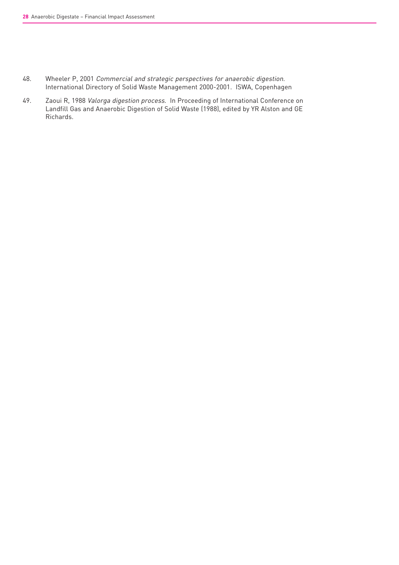- 48. Wheeler P, 2001 Commercial and strategic perspectives for anaerobic digestion. International Directory of Solid Waste Management 2000-2001. ISWA, Copenhagen
- 49. Zaoui R, 1988 Valorga digestion process. In Proceeding of International Conference on Landfill Gas and Anaerobic Digestion of Solid Waste (1988), edited by YR Alston and GE Richards.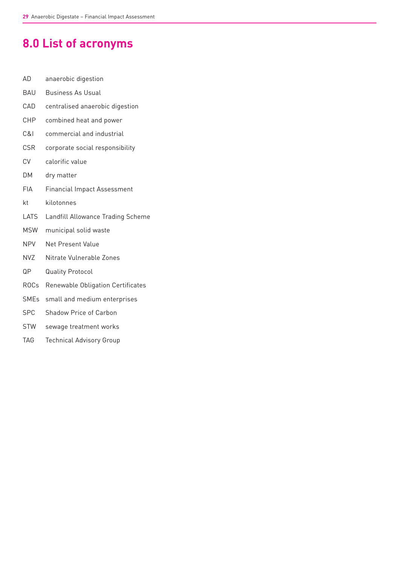# **8.0 List of acronyms**

- AD anaerobic digestion
- BAU Business As Usual
- CAD centralised anaerobic digestion
- CHP combined heat and power
- C&I commercial and industrial
- CSR corporate social responsibility
- CV calorific value
- DM dry matter
- FIA Financial Impact Assessment
- kt kilotonnes
- LATS Landfill Allowance Trading Scheme
- MSW municipal solid waste
- NPV Net Present Value
- NVZ Nitrate Vulnerable Zones
- QP Quality Protocol
- ROCs Renewable Obligation Certificates
- SMEs small and medium enterprises
- SPC Shadow Price of Carbon
- STW sewage treatment works
- TAG Technical Advisory Group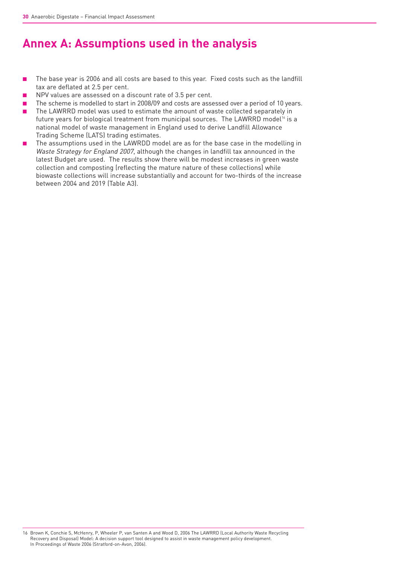# **Annex A: Assumptions used in the analysis**

- The base year is 2006 and all costs are based to this year. Fixed costs such as the landfill tax are deflated at 2.5 per cent.
- NPV values are assessed on a discount rate of 3.5 per cent.
- The scheme is modelled to start in 2008/09 and costs are assessed over a period of 10 years.
- The LAWRRD model was used to estimate the amount of waste collected separately in future years for biological treatment from municipal sources. The LAWRRD model<sup>16</sup> is a national model of waste management in England used to derive Landfill Allowance Trading Scheme (LATS) trading estimates.
- The assumptions used in the LAWRDD model are as for the base case in the modelling in Waste Strategy for England 2007, although the changes in landfill tax announced in the latest Budget are used. The results show there will be modest increases in green waste collection and composting (reflecting the mature nature of these collections) while biowaste collections will increase substantially and account for two-thirds of the increase between 2004 and 2019 (Table A3).

16 Brown K, Conchie S, McHenry, P, Wheeler P, van Santen A and Wood D, 2006 The LAWRRD (Local Authority Waste Recycling Recovery and Disposal) Model: A decision support tool designed to assist in waste management policy development. In Proceedings of Waste 2006 (Stratford-on-Avon, 2006).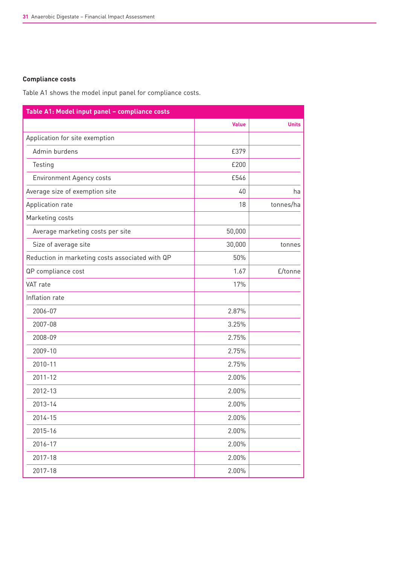### **Compliance costs**

Table A1 shows the model input panel for compliance costs.

| Table A1: Model input panel - compliance costs  |              |              |
|-------------------------------------------------|--------------|--------------|
|                                                 | <b>Value</b> | <b>Units</b> |
| Application for site exemption                  |              |              |
| Admin burdens                                   | £379         |              |
| Testing                                         | £200         |              |
| <b>Environment Agency costs</b>                 | £546         |              |
| Average size of exemption site                  | 40           | ha           |
| Application rate                                | 18           | tonnes/ha    |
| Marketing costs                                 |              |              |
| Average marketing costs per site                | 50,000       |              |
| Size of average site                            | 30,000       | tonnes       |
| Reduction in marketing costs associated with QP | 50%          |              |
| QP compliance cost                              | 1.67         | £/tonne      |
| VAT rate                                        | 17%          |              |
| Inflation rate                                  |              |              |
| 2006-07                                         | 2.87%        |              |
| 2007-08                                         | 3.25%        |              |
| 2008-09                                         | 2.75%        |              |
| 2009-10                                         | 2.75%        |              |
| 2010-11                                         | 2.75%        |              |
| $2011 - 12$                                     | 2.00%        |              |
| 2012-13                                         | 2.00%        |              |
| 2013-14                                         | 2.00%        |              |
| 2014-15                                         | 2.00%        |              |
| 2015-16                                         | 2.00%        |              |
| 2016-17                                         | 2.00%        |              |
| 2017-18                                         | 2.00%        |              |
| 2017-18                                         | 2.00%        |              |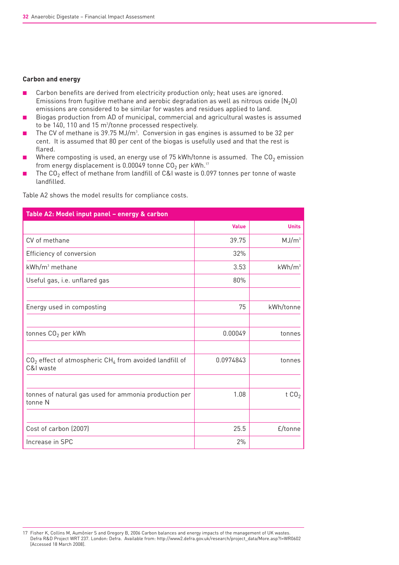#### **Carbon and energy**

- Carbon benefits are derived from electricity production only; heat uses are ignored. Emissions from fugitive methane and aerobic degradation as well as nitrous oxide  $(N_2O)$ emissions are considered to be similar for wastes and residues applied to land.
- Biogas production from AD of municipal, commercial and agricultural wastes is assumed to be 140, 110 and 15 m $^3\!/\!$ tonne processed respectively.
- The CV of methane is 39.75 MJ/m<sup>3</sup>. Conversion in gas engines is assumed to be 32 per cent. It is assumed that 80 per cent of the biogas is usefully used and that the rest is flared.
- Where composting is used, an energy use of 75 kWh/tonne is assumed. The  $CO<sub>2</sub>$  emission from energy displacement is 0.00049 tonne  $CO<sub>2</sub>$  per kWh.<sup>17</sup>
- The CO<sub>2</sub> effect of methane from landfill of C&I waste is 0.097 tonnes per tonne of waste landfilled.

| Table A2: Model input panel - energy & carbon                                     |              |                   |  |
|-----------------------------------------------------------------------------------|--------------|-------------------|--|
|                                                                                   | <b>Value</b> | <b>Units</b>      |  |
| CV of methane                                                                     | 39.75        | MJ/m <sup>3</sup> |  |
| Efficiency of conversion                                                          | 32%          |                   |  |
| $kWh/m3$ methane                                                                  | 3.53         | $kWh/m^3$         |  |
| Useful gas, i.e. unflared gas                                                     | 80%          |                   |  |
| Energy used in composting                                                         | 75           | kWh/tonne         |  |
| tonnes CO <sub>2</sub> per kWh                                                    | 0.00049      | tonnes            |  |
| $CO2$ effect of atmospheric CH <sub>4</sub> from avoided landfill of<br>C&I waste | 0.0974843    | tonnes            |  |
| tonnes of natural gas used for ammonia production per<br>tonne N                  | 1.08         | t $CO2$           |  |
| Cost of carbon (2007)                                                             | 25.5         | £/tonne           |  |
| Increase in SPC                                                                   | 2%           |                   |  |

Table A2 shows the model results for compliance costs.

<sup>17</sup> Fisher K, Collins M, Aumônier S and Gregory B, 2006 Carbon balances and energy impacts of the management of UK wastes. Defra R&D Project WRT 237. London: Defra. Available from: http://www2.defra.gov.uk/research/project\_data/More.asp?I=WR0602 [Accessed 18 March 2008].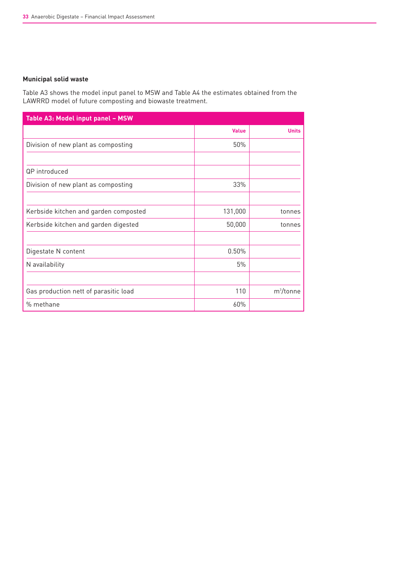### **Municipal solid waste**

Table A3 shows the model input panel to MSW and Table A4 the estimates obtained from the LAWRRD model of future composting and biowaste treatment.

| Table A3: Model input panel - MSW     |              |              |
|---------------------------------------|--------------|--------------|
|                                       | <b>Value</b> | <b>Units</b> |
| Division of new plant as composting   | 50%          |              |
|                                       |              |              |
| QP introduced                         |              |              |
| Division of new plant as composting   | 33%          |              |
|                                       |              |              |
| Kerbside kitchen and garden composted | 131,000      | tonnes       |
| Kerbside kitchen and garden digested  | 50,000       | tonnes       |
|                                       |              |              |
| Digestate N content                   | 0.50%        |              |
| N availability                        | 5%           |              |
|                                       |              |              |
| Gas production nett of parasitic load | 110          | $m^3$ /tonne |
| % methane                             | 60%          |              |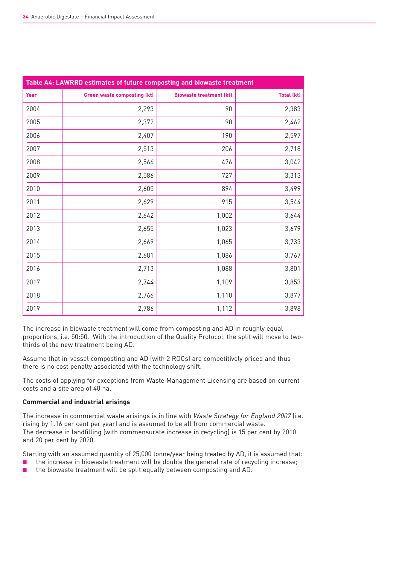| Table A4: LAWRRD estimates of future composting and biowaste treatment |                                    |                                |                   |
|------------------------------------------------------------------------|------------------------------------|--------------------------------|-------------------|
| Year                                                                   | <b>Green waste composting (kt)</b> | <b>Biowaste treatment (kt)</b> | <b>Total (kt)</b> |
| 2004                                                                   | 2,293                              | 90                             | 2,383             |
| 2005                                                                   | 2,372                              | 90                             | 2,462             |
| 2006                                                                   | 2,407                              | 190                            | 2,597             |
| 2007                                                                   | 2,513                              | 206                            | 2,718             |
| 2008                                                                   | 2,566                              | 476                            | 3,042             |
| 2009                                                                   | 2,586                              | 727                            | 3,313             |
| 2010                                                                   | 2,605                              | 894                            | 3,499             |
| 2011                                                                   | 2,629                              | 915                            | 3,544             |
| 2012                                                                   | 2,642                              | 1,002                          | 3,644             |
| 2013                                                                   | 2,655                              | 1,023                          | 3,679             |
| 2014                                                                   | 2,669                              | 1,065                          | 3,733             |
| 2015                                                                   | 2,681                              | 1,086                          | 3,767             |
| 2016                                                                   | 2,713                              | 1,088                          | 3,801             |
| 2017                                                                   | 2,744                              | 1,109                          | 3,853             |
| 2018                                                                   | 2,766                              | 1,110                          | 3,877             |
| 2019                                                                   | 2,786                              | 1,112                          | 3,898             |

The increase in biowaste treatment will come from composting and AD in roughly equal proportions, i.e. 50:50. With the introduction of the Quality Protocol, the split will move to twothirds of the new treatment being AD.

Assume that in-vessel composting and AD (with 2 ROCs) are competitively priced and thus there is no cost penalty associated with the technology shift.

The costs of applying for exceptions from Waste Management Licensing are based on current costs and a site area of 40 ha.

### **Commercial and industrial arisings**

The increase in commercial waste arisings is in line with Waste Strategy for England 2007 (i.e. rising by 1.16 per cent per year) and is assumed to be all from commercial waste. The decrease in landfilling (with commensurate increase in recycling) is 15 per cent by 2010 and 20 per cent by 2020.

Starting with an assumed quantity of 25,000 tonne/year being treated by AD, it is assumed that:

- the increase in biowaste treatment will be double the general rate of recycling increase;
- the biowaste treatment will be split equally between composting and AD.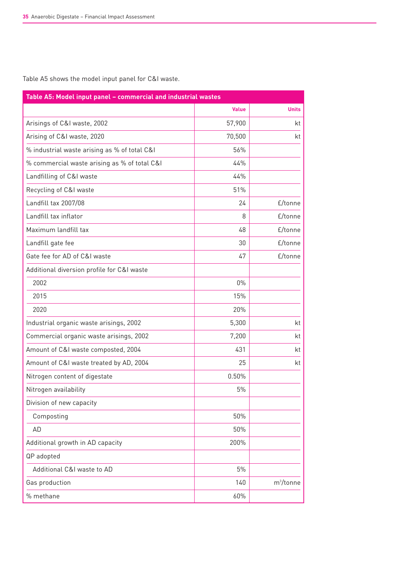Table A5 shows the model input panel for C&I waste.

| Table A5: Model input panel - commercial and industrial wastes |              |              |  |
|----------------------------------------------------------------|--------------|--------------|--|
|                                                                | <b>Value</b> | <b>Units</b> |  |
| Arisings of C&I waste, 2002                                    | 57,900       | kt           |  |
| Arising of C&I waste, 2020                                     | 70,500       | kt           |  |
| % industrial waste arising as % of total C&I                   | 56%          |              |  |
| % commercial waste arising as % of total C&I                   | 44%          |              |  |
| Landfilling of C&I waste                                       | 44%          |              |  |
| Recycling of C&I waste                                         | 51%          |              |  |
| Landfill tax 2007/08                                           | 24           | £/tonne      |  |
| Landfill tax inflator                                          | 8            | £/tonne      |  |
| Maximum landfill tax                                           | 48           | £/tonne      |  |
| Landfill gate fee                                              | 30           | £/tonne      |  |
| Gate fee for AD of C&I waste                                   | 47           | £/tonne      |  |
| Additional diversion profile for C&I waste                     |              |              |  |
| 2002                                                           | $0\%$        |              |  |
| 2015                                                           | 15%          |              |  |
| 2020                                                           | 20%          |              |  |
| Industrial organic waste arisings, 2002                        | 5,300        | kt           |  |
| Commercial organic waste arisings, 2002                        | 7,200        | kt           |  |
| Amount of C&I waste composted, 2004                            | 431          | kt           |  |
| Amount of C&I waste treated by AD, 2004                        | 25           | kt           |  |
| Nitrogen content of digestate                                  | 0.50%        |              |  |
| Nitrogen availability                                          | 5%           |              |  |
| Division of new capacity                                       |              |              |  |
| Composting                                                     | 50%          |              |  |
| AD                                                             | 50%          |              |  |
| Additional growth in AD capacity                               | 200%         |              |  |
| QP adopted                                                     |              |              |  |
| Additional C&I waste to AD                                     | $5\%$        |              |  |
| Gas production                                                 | 140          | $m^3$ /tonne |  |
| % methane                                                      | 60%          |              |  |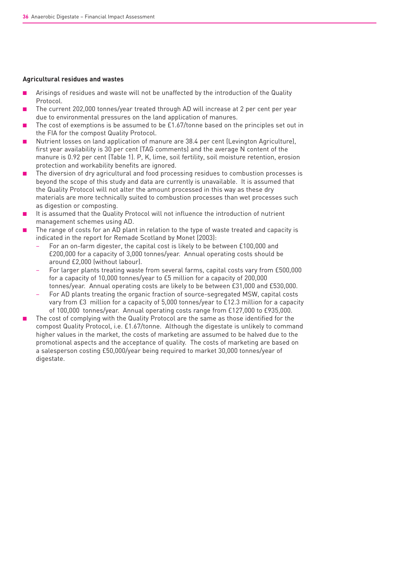#### **Agricultural residues and wastes**

- Arisings of residues and waste will not be unaffected by the introduction of the Quality Protocol.
- The current 202,000 tonnes/year treated through AD will increase at 2 per cent per year due to environmental pressures on the land application of manures.
- The cost of exemptions is be assumed to be  $£1.67/t$ onne based on the principles set out in the FIA for the compost Quality Protocol.
- Nutrient losses on land application of manure are 38.4 per cent (Levington Agriculture), first year availability is 30 per cent (TAG comments) and the average N content of the manure is 0.92 per cent (Table 1). P, K, lime, soil fertility, soil moisture retention, erosion protection and workability benefits are ignored.
- The diversion of dry agricultural and food processing residues to combustion processes is beyond the scope of this study and data are currently is unavailable. It is assumed that the Quality Protocol will not alter the amount processed in this way as these dry materials are more technically suited to combustion processes than wet processes such as digestion or composting.
- It is assumed that the Quality Protocol will not influence the introduction of nutrient management schemes using AD.
- The range of costs for an AD plant in relation to the type of waste treated and capacity is indicated in the report for Remade Scotland by Monet (2003):
	- For an on-farm digester, the capital cost is likely to be between £100,000 and £200,000 for a capacity of 3,000 tonnes/year. Annual operating costs should be around £2,000 (without labour).
	- For larger plants treating waste from several farms, capital costs vary from £500,000 for a capacity of 10,000 tonnes/year to £5 million for a capacity of 200,000 tonnes/year. Annual operating costs are likely to be between £31,000 and £530,000.
	- For AD plants treating the organic fraction of source-segregated MSW, capital costs vary from £3 million for a capacity of 5,000 tonnes/year to £12.3 million for a capacity of 100,000 tonnes/year. Annual operating costs range from £127,000 to £935,000.
- The cost of complying with the Quality Protocol are the same as those identified for the compost Quality Protocol, i.e. £1.67/tonne. Although the digestate is unlikely to command higher values in the market, the costs of marketing are assumed to be halved due to the promotional aspects and the acceptance of quality. The costs of marketing are based on a salesperson costing £50,000/year being required to market 30,000 tonnes/year of digestate.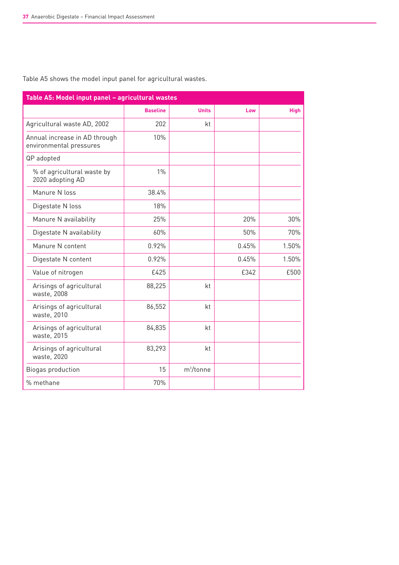| Table A5: Model input panel - agricultural wastes        |                 |              |       |             |
|----------------------------------------------------------|-----------------|--------------|-------|-------------|
|                                                          | <b>Baseline</b> | <b>Units</b> | Low   | <b>High</b> |
| Agricultural waste AD, 2002                              | 202             | kt           |       |             |
| Annual increase in AD through<br>environmental pressures | 10%             |              |       |             |
| QP adopted                                               |                 |              |       |             |
| % of agricultural waste by<br>2020 adopting AD           | $1\%$           |              |       |             |
| Manure N loss                                            | 38.4%           |              |       |             |
| Digestate N loss                                         | 18%             |              |       |             |
| Manure N availability                                    | 25%             |              | 20%   | 30%         |
| Digestate N availability                                 | 60%             |              | 50%   | 70%         |
| Manure N content                                         | 0.92%           |              | 0.45% | 1.50%       |
| Digestate N content                                      | 0.92%           |              | 0.45% | 1.50%       |
| Value of nitrogen                                        | £425            |              | £342  | £500        |
| Arisings of agricultural<br>waste, 2008                  | 88,225          | kt           |       |             |
| Arisings of agricultural<br>waste, 2010                  | 86,552          | kt           |       |             |
| Arisings of agricultural<br>waste, 2015                  | 84,835          | kt           |       |             |
| Arisings of agricultural<br>waste, 2020                  | 83,293          | kt           |       |             |
| Biogas production                                        | 15              | $m^3$ /tonne |       |             |
| % methane                                                | 70%             |              |       |             |

Table A5 shows the model input panel for agricultural wastes.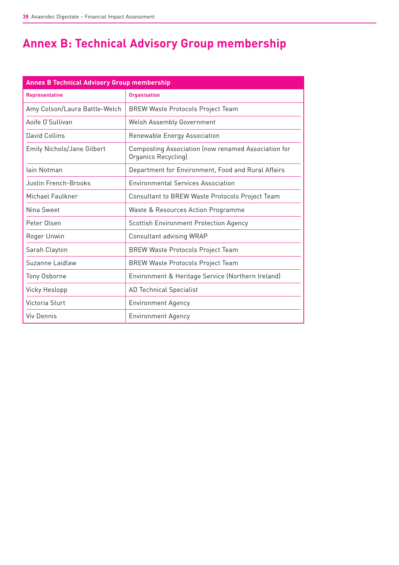# **Annex B: Technical Advisory Group membership**

| <b>Annex B Technical Advisory Group membership</b> |                                                                            |  |
|----------------------------------------------------|----------------------------------------------------------------------------|--|
| <b>Representative</b>                              | <b>Organisation</b>                                                        |  |
| Amy Colson/Laura Battle-Welch                      | <b>BREW Waste Protocols Project Team</b>                                   |  |
| Aoife O'Sullivan                                   | Welsh Assembly Government                                                  |  |
| David Collins                                      | Renewable Energy Association                                               |  |
| <b>Emily Nichols/Jane Gilbert</b>                  | Composting Association (now renamed Association for<br>Organics Recycling) |  |
| lain Notman                                        | Department for Environment, Food and Rural Affairs                         |  |
| Justin French-Brooks                               | <b>Environmental Services Association</b>                                  |  |
| Michael Faulkner                                   | Consultant to BREW Waste Protocols Project Team                            |  |
| Nina Sweet                                         | Waste & Resources Action Programme                                         |  |
| Peter Olsen                                        | Scottish Environment Protection Agency                                     |  |
| Roger Unwin                                        | Consultant advising WRAP                                                   |  |
| Sarah Clayton                                      | <b>BREW Waste Protocols Project Team</b>                                   |  |
| Suzanne Laidlaw                                    | <b>BREW Waste Protocols Project Team</b>                                   |  |
| Tony Osborne                                       | Environment & Heritage Service (Northern Ireland)                          |  |
| Vicky Heslopp                                      | <b>AD Technical Specialist</b>                                             |  |
| Victoria Sturt                                     | <b>Environment Agency</b>                                                  |  |
| <b>Viv Dennis</b>                                  | <b>Environment Agency</b>                                                  |  |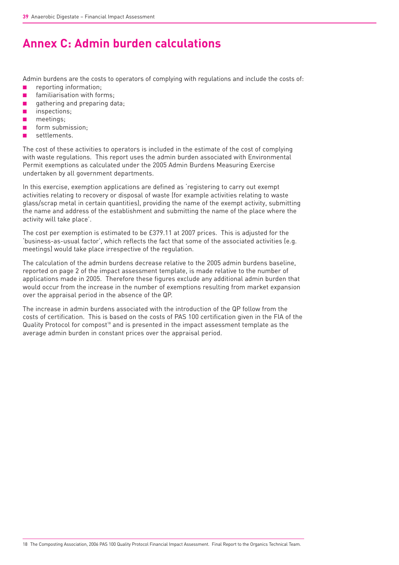# **Annex C: Admin burden calculations**

Admin burdens are the costs to operators of complying with regulations and include the costs of:

- reporting information;
- familiarisation with forms;
- gathering and preparing data;
- inspections;
- meetings;
- form submission;
- settlements.

The cost of these activities to operators is included in the estimate of the cost of complying with waste regulations. This report uses the admin burden associated with Environmental Permit exemptions as calculated under the 2005 Admin Burdens Measuring Exercise undertaken by all government departments.

In this exercise, exemption applications are defined as 'registering to carry out exempt activities relating to recovery or disposal of waste (for example activities relating to waste glass/scrap metal in certain quantities), providing the name of the exempt activity, submitting the name and address of the establishment and submitting the name of the place where the activity will take place'.

The cost per exemption is estimated to be £379.11 at 2007 prices. This is adjusted for the 'business-as-usual factor', which reflects the fact that some of the associated activities (e.g. meetings) would take place irrespective of the regulation.

The calculation of the admin burdens decrease relative to the 2005 admin burdens baseline, reported on page 2 of the impact assessment template, is made relative to the number of applications made in 2005. Therefore these figures exclude any additional admin burden that would occur from the increase in the number of exemptions resulting from market expansion over the appraisal period in the absence of the QP.

The increase in admin burdens associated with the introduction of the QP follow from the costs of certification. This is based on the costs of PAS 100 certification given in the FIA of the Quality Protocol for compost $18$  and is presented in the impact assessment template as the average admin burden in constant prices over the appraisal period.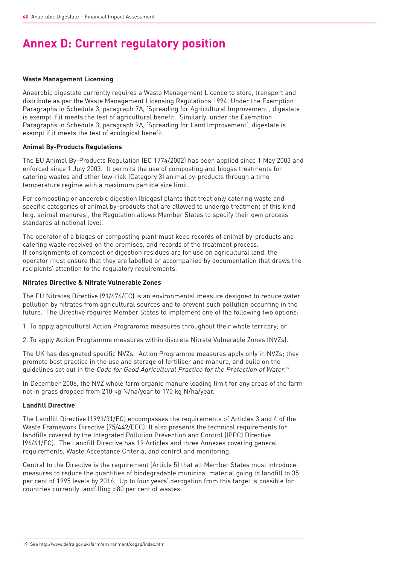# **Annex D: Current regulatory position**

#### **Waste Management Licensing**

Anaerobic digestate currently requires a Waste Management Licence to store, transport and distribute as per the Waste Management Licensing Regulations 1994. Under the Exemption Paragraphs in Schedule 3, paragraph 7A, 'Spreading for Agricultural Improvement', digestate is exempt if it meets the test of agricultural benefit. Similarly, under the Exemption Paragraphs in Schedule 3, paragraph 9A, 'Spreading for Land Improvement', digestate is exempt if it meets the test of ecological benefit.

### **Animal By-Products Regulations**

The EU Animal By-Products Regulation (EC 1774/2002) has been applied since 1 May 2003 and enforced since 1 July 2003. It permits the use of composting and biogas treatments for catering wastes and other low-risk (Category 3) animal by-products through a time temperature regime with a maximum particle size limit.

For composting or anaerobic digestion (biogas) plants that treat only catering waste and specific categories of animal by-products that are allowed to undergo treatment of this kind (e.g. animal manures), the Regulation allows Member States to specify their own process standards at national level.

The operator of a biogas or composting plant must keep records of animal by-products and catering waste received on the premises, and records of the treatment process. If consignments of compost or digestion residues are for use on agricultural land, the operator must ensure that they are labelled or accompanied by documentation that draws the recipients' attention to the regulatory requirements.

### **Nitrates Directive & Nitrate Vulnerable Zones**

The EU Nitrates Directive (91/676/EC) is an environmental measure designed to reduce water pollution by nitrates from agricultural sources and to prevent such pollution occurring in the future. The Directive requires Member States to implement one of the following two options:

1. To apply agricultural Action Programme measures throughout their whole territory; or

2. To apply Action Programme measures within discrete Nitrate Vulnerable Zones (NVZs).

The UK has designated specific NVZs. Action Programme measures apply only in NVZs; they promote best practice in the use and storage of fertiliser and manure, and build on the guidelines set out in the *Code for Good Agricultural Practice for the Protection of Water.*!"

In December 2006, the NVZ whole farm organic manure loading limit for any areas of the farm not in grass dropped from 210 kg N/ha/year to 170 kg N/ha/year.

### **Landfill Directive**

The Landfill Directive (1991/31/EC) encompasses the requirements of Articles 3 and 4 of the Waste Framework Directive (75/442/EEC). It also presents the technical requirements for landfills covered by the Integrated Pollution Prevention and Control (IPPC) Directive (96/61/EC). The Landfill Directive has 19 Articles and three Annexes covering general requirements, Waste Acceptance Criteria, and control and monitoring.

Central to the Directive is the requirement (Article 5) that all Member States must introduce measures to reduce the quantities of biodegradable municipal material going to landfill to 35 per cent of 1995 levels by 2016. Up to four years' derogation from this target is possible for countries currently landfilling >80 per cent of wastes.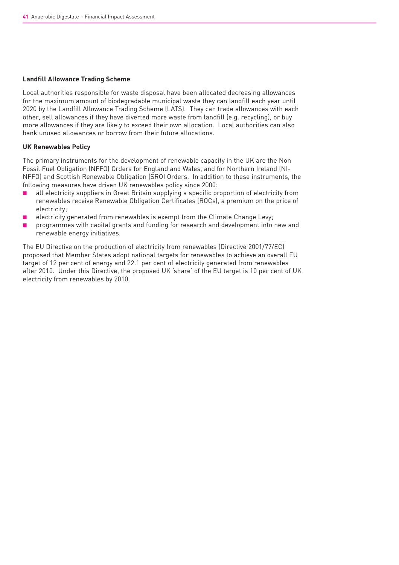#### **Landfill Allowance Trading Scheme**

Local authorities responsible for waste disposal have been allocated decreasing allowances for the maximum amount of biodegradable municipal waste they can landfill each year until 2020 by the Landfill Allowance Trading Scheme (LATS). They can trade allowances with each other, sell allowances if they have diverted more waste from landfill (e.g. recycling), or buy more allowances if they are likely to exceed their own allocation. Local authorities can also bank unused allowances or borrow from their future allocations.

#### **UK Renewables Policy**

The primary instruments for the development of renewable capacity in the UK are the Non Fossil Fuel Obligation (NFFO) Orders for England and Wales, and for Northern Ireland (NI-NFFO) and Scottish Renewable Obligation (SRO) Orders. In addition to these instruments, the following measures have driven UK renewables policy since 2000:

- all electricity suppliers in Great Britain supplying a specific proportion of electricity from renewables receive Renewable Obligation Certificates (ROCs), a premium on the price of electricity;
- electricity generated from renewables is exempt from the Climate Change Levy;
- programmes with capital grants and funding for research and development into new and renewable energy initiatives.

The EU Directive on the production of electricity from renewables (Directive 2001/77/EC) proposed that Member States adopt national targets for renewables to achieve an overall EU target of 12 per cent of energy and 22.1 per cent of electricity generated from renewables after 2010. Under this Directive, the proposed UK 'share' of the EU target is 10 per cent of UK electricity from renewables by 2010.